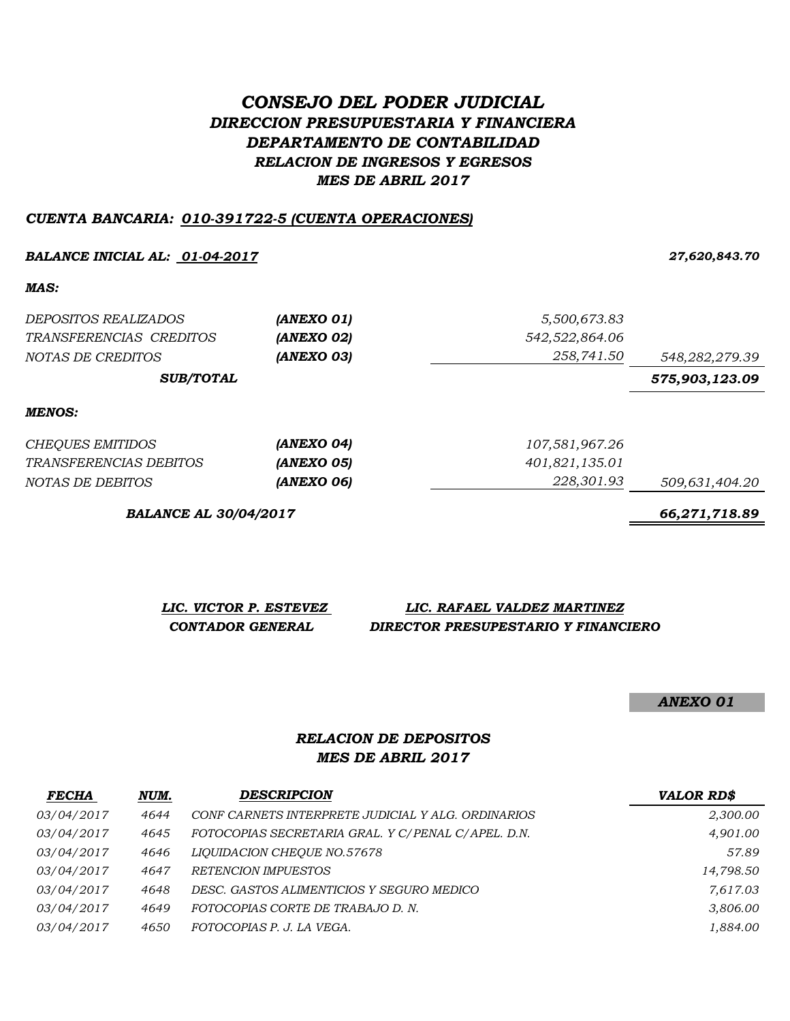# *CONSEJO DEL PODER JUDICIAL DIRECCION PRESUPUESTARIA Y FINANCIERA DEPARTAMENTO DE CONTABILIDAD RELACION DE INGRESOS Y EGRESOS MES DE ABRIL 2017*

#### *CUENTA BANCARIA: 010-391722-5 (CUENTA OPERACIONES)*

#### *BALANCE INICIAL AL: 01-04-2017 27,620,843.70*

*MAS:*

| <i>DEPOSITOS REALIZADOS</i>   | (ANEXO 01)        | 5,500,673.83   |                |  |
|-------------------------------|-------------------|----------------|----------------|--|
| TRANSFERENCIAS CREDITOS       | (ANEXO 02)        | 542,522,864.06 |                |  |
| NOTAS DE CREDITOS             | (ANEXO 03)        | 258,741.50     | 548,282,279.39 |  |
| <b>SUB/TOTAL</b>              |                   |                | 575,903,123.09 |  |
| MENOS:                        |                   |                |                |  |
| <b>CHEQUES EMITIDOS</b>       | (ANEXO 04)        | 107,581,967.26 |                |  |
| <i>TRANSFERENCIAS DEBITOS</i> | <b>(ANEXO 05)</b> | 401,821,135.01 |                |  |

*NOTAS DE DEBITOS (ANEXO 06) 228,301.93 509,631,404.20*

*BALANCE AL 30/04/2017 66,271,718.89*

| LIC. VICTOR P. ESTEVEZ | LIC. RAFAEL VALDEZ MARTINEZ         |
|------------------------|-------------------------------------|
| CONTADOR GENERAL       | DIRECTOR PRESUPESTARIO Y FINANCIERO |

*ANEXO 01*

## *MES DE ABRIL 2017 RELACION DE DEPOSITOS*

| <b>FECHA</b>      | NUM. | <b>DESCRIPCION</b>                                 | <b>VALOR RD\$</b> |
|-------------------|------|----------------------------------------------------|-------------------|
| <i>03/04/2017</i> | 4644 | CONF CARNETS INTERPRETE JUDICIAL Y ALG. ORDINARIOS | 2,300.00          |
| <i>03/04/2017</i> | 4645 | FOTOCOPIAS SECRETARIA GRAL. Y C/PENAL C/APEL. D.N. | 4,901.00          |
| <i>03/04/2017</i> | 4646 | LIOUIDACION CHEOUE NO.57678                        | 57.89             |
| <i>03/04/2017</i> | 4647 | RETENCION IMPUESTOS                                | 14,798.50         |
| <i>03/04/2017</i> | 4648 | DESC. GASTOS ALIMENTICIOS Y SEGURO MEDICO          | 7,617.03          |
| 03/04/2017        | 4649 | FOTOCOPIAS CORTE DE TRABAJO D.N.                   | 3,806.00          |
| <i>03/04/2017</i> | 4650 | FOTOCOPIAS P. J. LA VEGA.                          | 1,884.00          |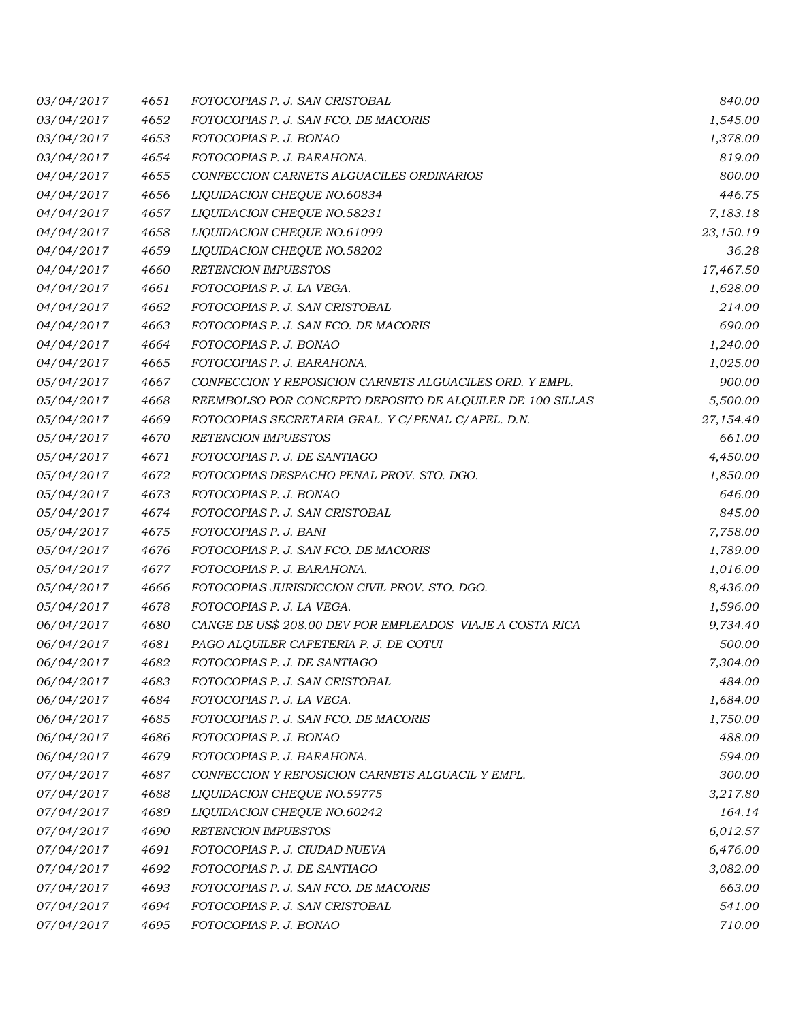| 03/04/2017 | 4651 | FOTOCOPIAS P. J. SAN CRISTOBAL                            | 840.00    |
|------------|------|-----------------------------------------------------------|-----------|
| 03/04/2017 | 4652 | FOTOCOPIAS P. J. SAN FCO. DE MACORIS                      | 1,545.00  |
| 03/04/2017 | 4653 | FOTOCOPIAS P. J. BONAO                                    | 1,378.00  |
| 03/04/2017 | 4654 | FOTOCOPIAS P. J. BARAHONA.                                | 819.00    |
| 04/04/2017 | 4655 | CONFECCION CARNETS ALGUACILES ORDINARIOS                  | 800.00    |
| 04/04/2017 | 4656 | LIQUIDACION CHEQUE NO.60834                               | 446.75    |
| 04/04/2017 | 4657 | LIQUIDACION CHEQUE NO.58231                               | 7,183.18  |
| 04/04/2017 | 4658 | LIQUIDACION CHEQUE NO.61099                               | 23,150.19 |
| 04/04/2017 | 4659 | LIQUIDACION CHEQUE NO.58202                               | 36.28     |
| 04/04/2017 | 4660 | RETENCION IMPUESTOS                                       | 17,467.50 |
| 04/04/2017 | 4661 | FOTOCOPIAS P. J. LA VEGA.                                 | 1,628.00  |
| 04/04/2017 | 4662 | FOTOCOPIAS P. J. SAN CRISTOBAL                            | 214.00    |
| 04/04/2017 | 4663 | FOTOCOPIAS P. J. SAN FCO. DE MACORIS                      | 690.00    |
| 04/04/2017 | 4664 | FOTOCOPIAS P. J. BONAO                                    | 1,240.00  |
| 04/04/2017 | 4665 | FOTOCOPIAS P. J. BARAHONA.                                | 1,025.00  |
| 05/04/2017 | 4667 | CONFECCION Y REPOSICION CARNETS ALGUACILES ORD. Y EMPL.   | 900.00    |
| 05/04/2017 | 4668 | REEMBOLSO POR CONCEPTO DEPOSITO DE ALQUILER DE 100 SILLAS | 5,500.00  |
| 05/04/2017 | 4669 | FOTOCOPIAS SECRETARIA GRAL. Y C/PENAL C/APEL. D.N.        | 27,154.40 |
| 05/04/2017 | 4670 | <b>RETENCION IMPUESTOS</b>                                | 661.00    |
| 05/04/2017 | 4671 | FOTOCOPIAS P. J. DE SANTIAGO                              | 4,450.00  |
| 05/04/2017 | 4672 | FOTOCOPIAS DESPACHO PENAL PROV. STO. DGO.                 | 1,850.00  |
| 05/04/2017 | 4673 | FOTOCOPIAS P. J. BONAO                                    | 646.00    |
| 05/04/2017 | 4674 | FOTOCOPIAS P. J. SAN CRISTOBAL                            | 845.00    |
| 05/04/2017 | 4675 | FOTOCOPIAS P. J. BANI                                     | 7,758.00  |
| 05/04/2017 | 4676 | FOTOCOPIAS P. J. SAN FCO. DE MACORIS                      | 1,789.00  |
| 05/04/2017 | 4677 | FOTOCOPIAS P. J. BARAHONA.                                | 1,016.00  |
| 05/04/2017 | 4666 | FOTOCOPIAS JURISDICCION CIVIL PROV. STO. DGO.             | 8,436.00  |
| 05/04/2017 | 4678 | FOTOCOPIAS P. J. LA VEGA.                                 | 1,596.00  |
| 06/04/2017 | 4680 | CANGE DE US\$ 208.00 DEV POR EMPLEADOS VIAJE A COSTA RICA | 9,734.40  |
| 06/04/2017 | 4681 | PAGO ALQUILER CAFETERIA P. J. DE COTUI                    | 500.00    |
| 06/04/2017 | 4682 | FOTOCOPIAS P. J. DE SANTIAGO                              | 7,304.00  |
| 06/04/2017 | 4683 | FOTOCOPIAS P. J. SAN CRISTOBAL                            | 484.00    |
| 06/04/2017 | 4684 | FOTOCOPIAS P. J. LA VEGA.                                 | 1,684.00  |
| 06/04/2017 | 4685 | FOTOCOPIAS P. J. SAN FCO. DE MACORIS                      | 1,750.00  |
| 06/04/2017 | 4686 | FOTOCOPIAS P. J. BONAO                                    | 488.00    |
| 06/04/2017 | 4679 | FOTOCOPIAS P. J. BARAHONA.                                | 594.00    |
| 07/04/2017 | 4687 | CONFECCION Y REPOSICION CARNETS ALGUACIL Y EMPL.          | 300.00    |
| 07/04/2017 | 4688 | LIQUIDACION CHEQUE NO.59775                               | 3,217.80  |
| 07/04/2017 | 4689 | LIQUIDACION CHEQUE NO.60242                               | 164.14    |
| 07/04/2017 | 4690 | RETENCION IMPUESTOS                                       | 6,012.57  |
| 07/04/2017 | 4691 | FOTOCOPIAS P. J. CIUDAD NUEVA                             | 6,476.00  |
| 07/04/2017 | 4692 | FOTOCOPIAS P. J. DE SANTIAGO                              | 3,082.00  |
| 07/04/2017 | 4693 | FOTOCOPIAS P. J. SAN FCO. DE MACORIS                      | 663.00    |
| 07/04/2017 | 4694 | FOTOCOPIAS P. J. SAN CRISTOBAL                            | 541.00    |
| 07/04/2017 | 4695 | FOTOCOPIAS P. J. BONAO                                    | 710.00    |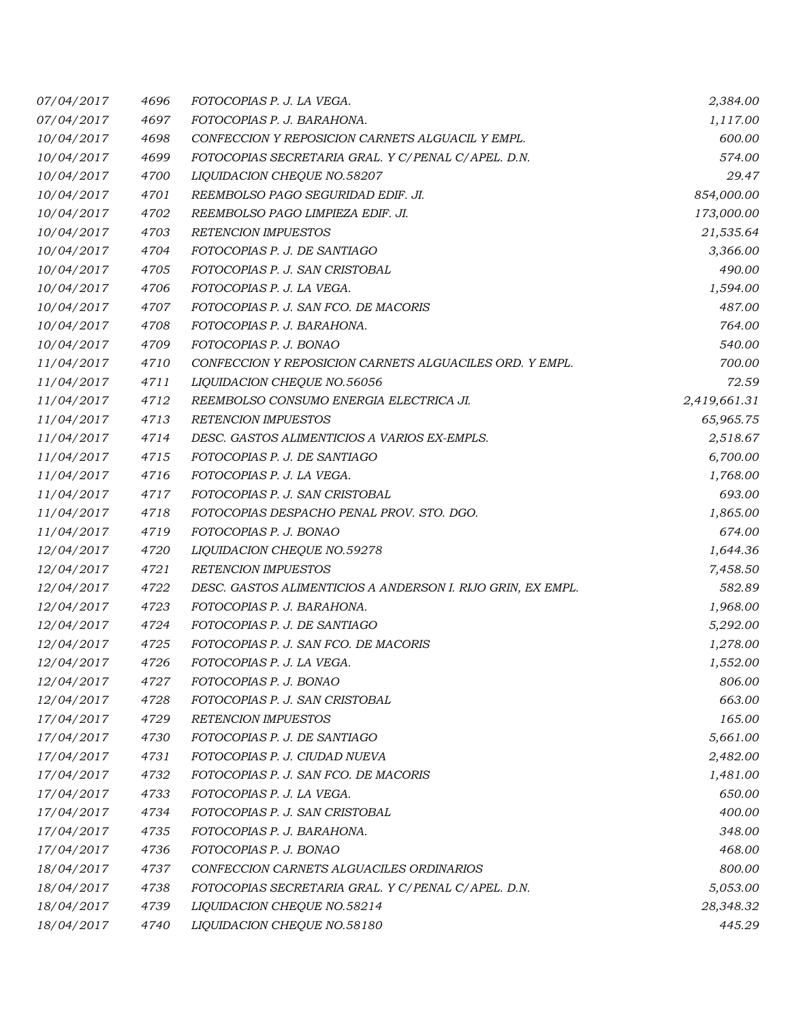| 07/04/2017        | 4696 | FOTOCOPIAS P. J. LA VEGA.                                   | 2,384.00     |
|-------------------|------|-------------------------------------------------------------|--------------|
| 07/04/2017        | 4697 | FOTOCOPIAS P. J. BARAHONA.                                  | 1,117.00     |
| 10/04/2017        | 4698 | CONFECCION Y REPOSICION CARNETS ALGUACIL Y EMPL.            | 600.00       |
| 10/04/2017        | 4699 | FOTOCOPIAS SECRETARIA GRAL. Y C/PENAL C/APEL. D.N.          | 574.00       |
| 10/04/2017        | 4700 | LIQUIDACION CHEQUE NO.58207                                 | 29.47        |
| 10/04/2017        | 4701 | REEMBOLSO PAGO SEGURIDAD EDIF. JI.                          | 854,000.00   |
| 10/04/2017        | 4702 | REEMBOLSO PAGO LIMPIEZA EDIF. JI.                           | 173,000.00   |
| 10/04/2017        | 4703 | <b>RETENCION IMPUESTOS</b>                                  | 21,535.64    |
| 10/04/2017        | 4704 | FOTOCOPIAS P. J. DE SANTIAGO                                | 3,366.00     |
| 10/04/2017        | 4705 | FOTOCOPIAS P. J. SAN CRISTOBAL                              | 490.00       |
| 10/04/2017        | 4706 | FOTOCOPIAS P. J. LA VEGA.                                   | 1,594.00     |
| 10/04/2017        | 4707 | FOTOCOPIAS P. J. SAN FCO. DE MACORIS                        | 487.00       |
| 10/04/2017        | 4708 | FOTOCOPIAS P. J. BARAHONA.                                  | 764.00       |
| 10/04/2017        | 4709 | FOTOCOPIAS P. J. BONAO                                      | 540.00       |
| 11/04/2017        | 4710 | CONFECCION Y REPOSICION CARNETS ALGUACILES ORD. Y EMPL.     | 700.00       |
| 11/04/2017        | 4711 | LIQUIDACION CHEQUE NO.56056                                 | 72.59        |
| 11/04/2017        | 4712 | REEMBOLSO CONSUMO ENERGIA ELECTRICA JI.                     | 2,419,661.31 |
| 11/04/2017        | 4713 | <b>RETENCION IMPUESTOS</b>                                  | 65,965.75    |
| 11/04/2017        | 4714 | DESC. GASTOS ALIMENTICIOS A VARIOS EX-EMPLS.                | 2,518.67     |
| 11/04/2017        | 4715 | FOTOCOPIAS P. J. DE SANTIAGO                                | 6,700.00     |
| 11/04/2017        | 4716 | FOTOCOPIAS P. J. LA VEGA.                                   | 1,768.00     |
| 11/04/2017        | 4717 | FOTOCOPIAS P. J. SAN CRISTOBAL                              | 693.00       |
| 11/04/2017        | 4718 | FOTOCOPIAS DESPACHO PENAL PROV. STO. DGO.                   | 1,865.00     |
| 11/04/2017        | 4719 | FOTOCOPIAS P. J. BONAO                                      | 674.00       |
| <i>12/04/2017</i> | 4720 | LIQUIDACION CHEQUE NO.59278                                 | 1,644.36     |
| 12/04/2017        | 4721 | <b>RETENCION IMPUESTOS</b>                                  | 7,458.50     |
| 12/04/2017        | 4722 | DESC. GASTOS ALIMENTICIOS A ANDERSON I. RIJO GRIN, EX EMPL. | 582.89       |
| 12/04/2017        | 4723 | FOTOCOPIAS P. J. BARAHONA.                                  | 1,968.00     |
| 12/04/2017        | 4724 | FOTOCOPIAS P. J. DE SANTIAGO                                | 5,292.00     |
| 12/04/2017        | 4725 | FOTOCOPIAS P. J. SAN FCO. DE MACORIS                        | 1,278.00     |
| 12/04/2017        | 4726 | FOTOCOPIAS P. J. LA VEGA.                                   | 1,552.00     |
| 12/04/2017        | 4727 | FOTOCOPIAS P. J. BONAO                                      | 806.00       |
| 12/04/2017        | 4728 | FOTOCOPIAS P. J. SAN CRISTOBAL                              | 663.00       |
| 17/04/2017        | 4729 | RETENCION IMPUESTOS                                         | 165.00       |
| 17/04/2017        | 4730 | FOTOCOPIAS P. J. DE SANTIAGO                                | 5,661.00     |
| 17/04/2017        | 4731 | FOTOCOPIAS P. J. CIUDAD NUEVA                               | 2,482.00     |
| 17/04/2017        | 4732 | FOTOCOPIAS P. J. SAN FCO. DE MACORIS                        | 1,481.00     |
| 17/04/2017        | 4733 | FOTOCOPIAS P. J. LA VEGA.                                   | 650.00       |
| 17/04/2017        | 4734 | FOTOCOPIAS P. J. SAN CRISTOBAL                              | 400.00       |
| 17/04/2017        | 4735 | FOTOCOPIAS P. J. BARAHONA.                                  | 348.00       |
| 17/04/2017        | 4736 | FOTOCOPIAS P. J. BONAO                                      | 468.00       |
| 18/04/2017        | 4737 | CONFECCION CARNETS ALGUACILES ORDINARIOS                    | 800.00       |
| 18/04/2017        | 4738 | FOTOCOPIAS SECRETARIA GRAL. Y C/PENAL C/APEL. D.N.          | 5,053.00     |
| 18/04/2017        | 4739 | LIQUIDACION CHEQUE NO.58214                                 | 28,348.32    |
| 18/04/2017        | 4740 | LIQUIDACION CHEQUE NO.58180                                 | 445.29       |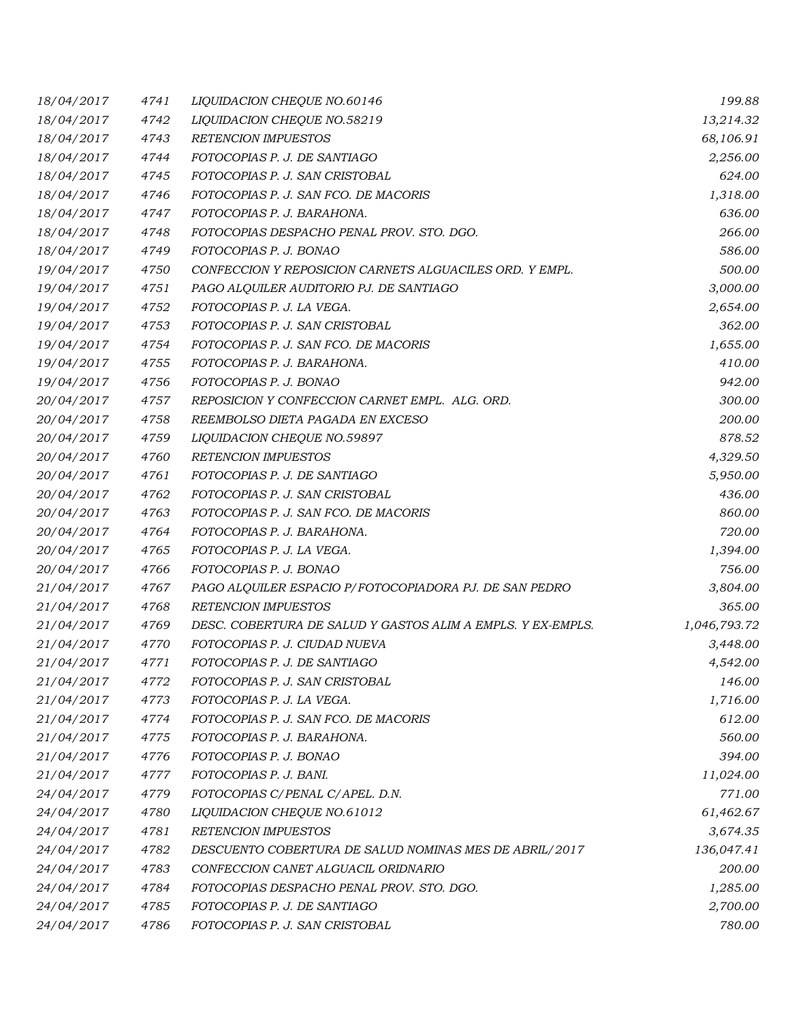| 18/04/2017 | 4741 | LIQUIDACION CHEQUE NO.60146                                 | 199.88       |
|------------|------|-------------------------------------------------------------|--------------|
| 18/04/2017 | 4742 | LIQUIDACION CHEQUE NO.58219                                 | 13,214.32    |
| 18/04/2017 | 4743 | <b>RETENCION IMPUESTOS</b>                                  | 68,106.91    |
| 18/04/2017 | 4744 | FOTOCOPIAS P. J. DE SANTIAGO                                | 2,256.00     |
| 18/04/2017 | 4745 | FOTOCOPIAS P. J. SAN CRISTOBAL                              | 624.00       |
| 18/04/2017 | 4746 | FOTOCOPIAS P. J. SAN FCO. DE MACORIS                        | 1,318.00     |
| 18/04/2017 | 4747 | FOTOCOPIAS P. J. BARAHONA.                                  | 636.00       |
| 18/04/2017 | 4748 | FOTOCOPIAS DESPACHO PENAL PROV. STO. DGO.                   | 266.00       |
| 18/04/2017 | 4749 | FOTOCOPIAS P. J. BONAO                                      | 586.00       |
| 19/04/2017 | 4750 | CONFECCION Y REPOSICION CARNETS ALGUACILES ORD. Y EMPL.     | 500.00       |
| 19/04/2017 | 4751 | PAGO ALQUILER AUDITORIO PJ. DE SANTIAGO                     | 3,000.00     |
| 19/04/2017 | 4752 | FOTOCOPIAS P. J. LA VEGA.                                   | 2,654.00     |
| 19/04/2017 | 4753 | FOTOCOPIAS P. J. SAN CRISTOBAL                              | 362.00       |
| 19/04/2017 | 4754 | FOTOCOPIAS P. J. SAN FCO. DE MACORIS                        | 1,655.00     |
| 19/04/2017 | 4755 | FOTOCOPIAS P. J. BARAHONA.                                  | 410.00       |
| 19/04/2017 | 4756 | FOTOCOPIAS P. J. BONAO                                      | 942.00       |
| 20/04/2017 | 4757 | REPOSICION Y CONFECCION CARNET EMPL. ALG. ORD.              | 300.00       |
| 20/04/2017 | 4758 | REEMBOLSO DIETA PAGADA EN EXCESO                            | 200.00       |
| 20/04/2017 | 4759 | LIQUIDACION CHEQUE NO.59897                                 | 878.52       |
| 20/04/2017 | 4760 | <b>RETENCION IMPUESTOS</b>                                  | 4,329.50     |
| 20/04/2017 | 4761 | FOTOCOPIAS P. J. DE SANTIAGO                                | 5,950.00     |
| 20/04/2017 | 4762 | FOTOCOPIAS P. J. SAN CRISTOBAL                              | 436.00       |
| 20/04/2017 | 4763 | FOTOCOPIAS P. J. SAN FCO. DE MACORIS                        | 860.00       |
| 20/04/2017 | 4764 | FOTOCOPIAS P. J. BARAHONA.                                  | 720.00       |
| 20/04/2017 | 4765 | FOTOCOPIAS P. J. LA VEGA.                                   | 1,394.00     |
| 20/04/2017 | 4766 | FOTOCOPIAS P. J. BONAO                                      | 756.00       |
| 21/04/2017 | 4767 | PAGO ALQUILER ESPACIO P/FOTOCOPIADORA PJ. DE SAN PEDRO      | 3,804.00     |
| 21/04/2017 | 4768 | RETENCION IMPUESTOS                                         | 365.00       |
| 21/04/2017 | 4769 | DESC. COBERTURA DE SALUD Y GASTOS ALIM A EMPLS. Y EX-EMPLS. | 1,046,793.72 |
| 21/04/2017 | 4770 | FOTOCOPIAS P. J. CIUDAD NUEVA                               | 3,448.00     |
| 21/04/2017 | 4771 | FOTOCOPIAS P. J. DE SANTIAGO                                | 4,542.00     |
| 21/04/2017 | 4772 | FOTOCOPIAS P. J. SAN CRISTOBAL                              | 146.00       |
| 21/04/2017 | 4773 | FOTOCOPIAS P. J. LA VEGA.                                   | 1,716.00     |
| 21/04/2017 | 4774 | FOTOCOPIAS P. J. SAN FCO. DE MACORIS                        | 612.00       |
| 21/04/2017 | 4775 | FOTOCOPIAS P. J. BARAHONA.                                  | 560.00       |
| 21/04/2017 | 4776 | FOTOCOPIAS P. J. BONAO                                      | 394.00       |
| 21/04/2017 | 4777 | FOTOCOPIAS P. J. BANI.                                      | 11,024.00    |
| 24/04/2017 | 4779 | FOTOCOPIAS C/PENAL C/APEL. D.N.                             | 771.00       |
| 24/04/2017 | 4780 | LIQUIDACION CHEQUE NO.61012                                 | 61,462.67    |
| 24/04/2017 | 4781 | <b>RETENCION IMPUESTOS</b>                                  | 3,674.35     |
| 24/04/2017 | 4782 | DESCUENTO COBERTURA DE SALUD NOMINAS MES DE ABRIL/2017      | 136,047.41   |
| 24/04/2017 | 4783 | CONFECCION CANET ALGUACIL ORIDNARIO                         | 200.00       |
| 24/04/2017 | 4784 | FOTOCOPIAS DESPACHO PENAL PROV. STO. DGO.                   | 1,285.00     |
| 24/04/2017 | 4785 | FOTOCOPIAS P. J. DE SANTIAGO                                | 2,700.00     |
| 24/04/2017 | 4786 | FOTOCOPIAS P. J. SAN CRISTOBAL                              | 780.00       |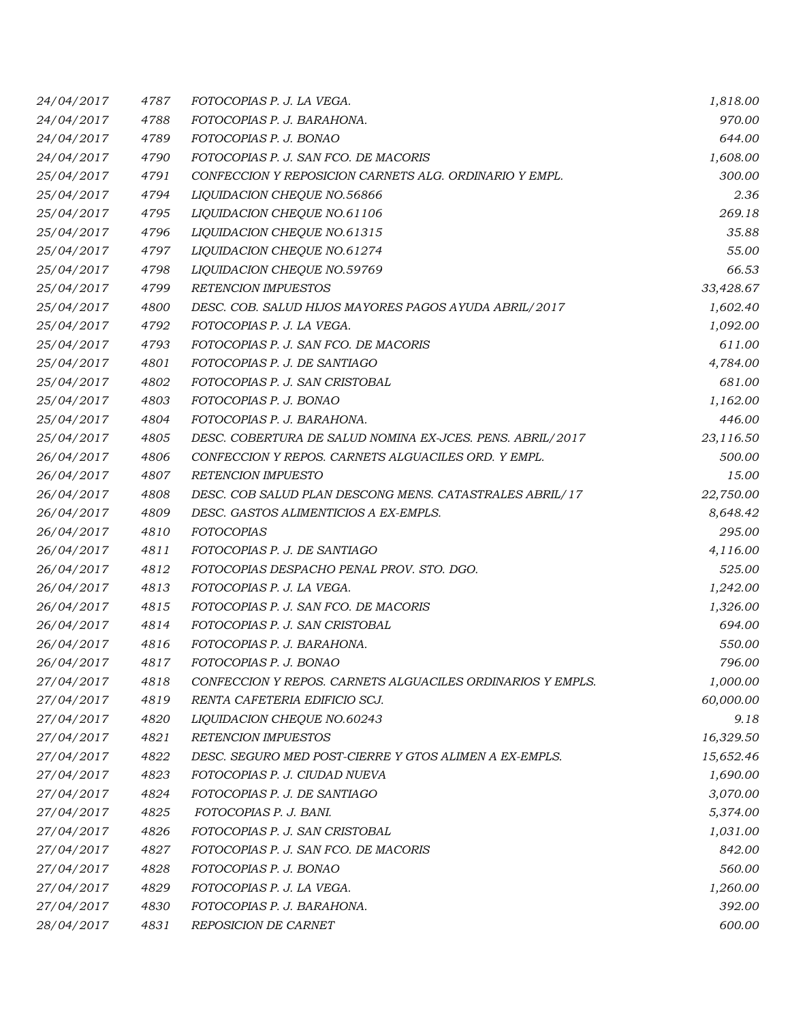| 24/04/2017 | 4787 | FOTOCOPIAS P. J. LA VEGA.                                  | 1,818.00  |
|------------|------|------------------------------------------------------------|-----------|
| 24/04/2017 | 4788 | FOTOCOPIAS P. J. BARAHONA.                                 | 970.00    |
| 24/04/2017 | 4789 | FOTOCOPIAS P. J. BONAO                                     | 644.00    |
| 24/04/2017 | 4790 | FOTOCOPIAS P. J. SAN FCO. DE MACORIS                       | 1,608.00  |
| 25/04/2017 | 4791 | CONFECCION Y REPOSICION CARNETS ALG. ORDINARIO Y EMPL.     | 300.00    |
| 25/04/2017 | 4794 | LIQUIDACION CHEQUE NO.56866                                | 2.36      |
| 25/04/2017 | 4795 | LIQUIDACION CHEQUE NO.61106                                | 269.18    |
| 25/04/2017 | 4796 | LIQUIDACION CHEQUE NO.61315                                | 35.88     |
| 25/04/2017 | 4797 | LIQUIDACION CHEQUE NO.61274                                | 55.00     |
| 25/04/2017 | 4798 | LIQUIDACION CHEQUE NO.59769                                | 66.53     |
| 25/04/2017 | 4799 | <b>RETENCION IMPUESTOS</b>                                 | 33,428.67 |
| 25/04/2017 | 4800 | DESC. COB. SALUD HIJOS MAYORES PAGOS AYUDA ABRIL/2017      | 1,602.40  |
| 25/04/2017 | 4792 | FOTOCOPIAS P. J. LA VEGA.                                  | 1,092.00  |
| 25/04/2017 | 4793 | FOTOCOPIAS P. J. SAN FCO. DE MACORIS                       | 611.00    |
| 25/04/2017 | 4801 | FOTOCOPIAS P. J. DE SANTIAGO                               | 4,784.00  |
| 25/04/2017 | 4802 | FOTOCOPIAS P. J. SAN CRISTOBAL                             | 681.00    |
| 25/04/2017 | 4803 | FOTOCOPIAS P. J. BONAO                                     | 1,162.00  |
| 25/04/2017 | 4804 | FOTOCOPIAS P. J. BARAHONA.                                 | 446.00    |
| 25/04/2017 | 4805 | DESC. COBERTURA DE SALUD NOMINA EX-JCES. PENS. ABRIL/2017  | 23,116.50 |
| 26/04/2017 | 4806 | CONFECCION Y REPOS. CARNETS ALGUACILES ORD. Y EMPL.        | 500.00    |
| 26/04/2017 | 4807 | <b>RETENCION IMPUESTO</b>                                  | 15.00     |
| 26/04/2017 | 4808 | DESC. COB SALUD PLAN DESCONG MENS. CATASTRALES ABRIL/17    | 22,750.00 |
| 26/04/2017 | 4809 | DESC. GASTOS ALIMENTICIOS A EX-EMPLS.                      | 8,648.42  |
| 26/04/2017 | 4810 | <b>FOTOCOPIAS</b>                                          | 295.00    |
| 26/04/2017 | 4811 | FOTOCOPIAS P. J. DE SANTIAGO                               | 4,116.00  |
| 26/04/2017 | 4812 | FOTOCOPIAS DESPACHO PENAL PROV. STO. DGO.                  | 525.00    |
| 26/04/2017 | 4813 | FOTOCOPIAS P. J. LA VEGA.                                  | 1,242.00  |
| 26/04/2017 | 4815 | FOTOCOPIAS P. J. SAN FCO. DE MACORIS                       | 1,326.00  |
| 26/04/2017 | 4814 | FOTOCOPIAS P. J. SAN CRISTOBAL                             | 694.00    |
| 26/04/2017 | 4816 | FOTOCOPIAS P. J. BARAHONA.                                 | 550.00    |
| 26/04/2017 | 4817 | FOTOCOPIAS P. J. BONAO                                     | 796.00    |
| 27/04/2017 | 4818 | CONFECCION Y REPOS. CARNETS ALGUACILES ORDINARIOS Y EMPLS. | 1,000.00  |
| 27/04/2017 | 4819 | RENTA CAFETERIA EDIFICIO SCJ.                              | 60,000.00 |
| 27/04/2017 | 4820 | LIQUIDACION CHEQUE NO.60243                                | 9.18      |
| 27/04/2017 | 4821 | <b>RETENCION IMPUESTOS</b>                                 | 16,329.50 |
| 27/04/2017 | 4822 | DESC. SEGURO MED POST-CIERRE Y GTOS ALIMEN A EX-EMPLS.     | 15,652.46 |
| 27/04/2017 | 4823 | FOTOCOPIAS P. J. CIUDAD NUEVA                              | 1,690.00  |
| 27/04/2017 | 4824 | FOTOCOPIAS P. J. DE SANTIAGO                               | 3,070.00  |
| 27/04/2017 | 4825 | FOTOCOPIAS P. J. BANI.                                     | 5,374.00  |
| 27/04/2017 | 4826 | FOTOCOPIAS P. J. SAN CRISTOBAL                             | 1,031.00  |
| 27/04/2017 | 4827 | FOTOCOPIAS P. J. SAN FCO. DE MACORIS                       | 842.00    |
| 27/04/2017 | 4828 | FOTOCOPIAS P. J. BONAO                                     | 560.00    |
| 27/04/2017 | 4829 | FOTOCOPIAS P. J. LA VEGA.                                  | 1,260.00  |
| 27/04/2017 | 4830 | FOTOCOPIAS P. J. BARAHONA.                                 | 392.00    |
| 28/04/2017 | 4831 | REPOSICION DE CARNET                                       | 600.00    |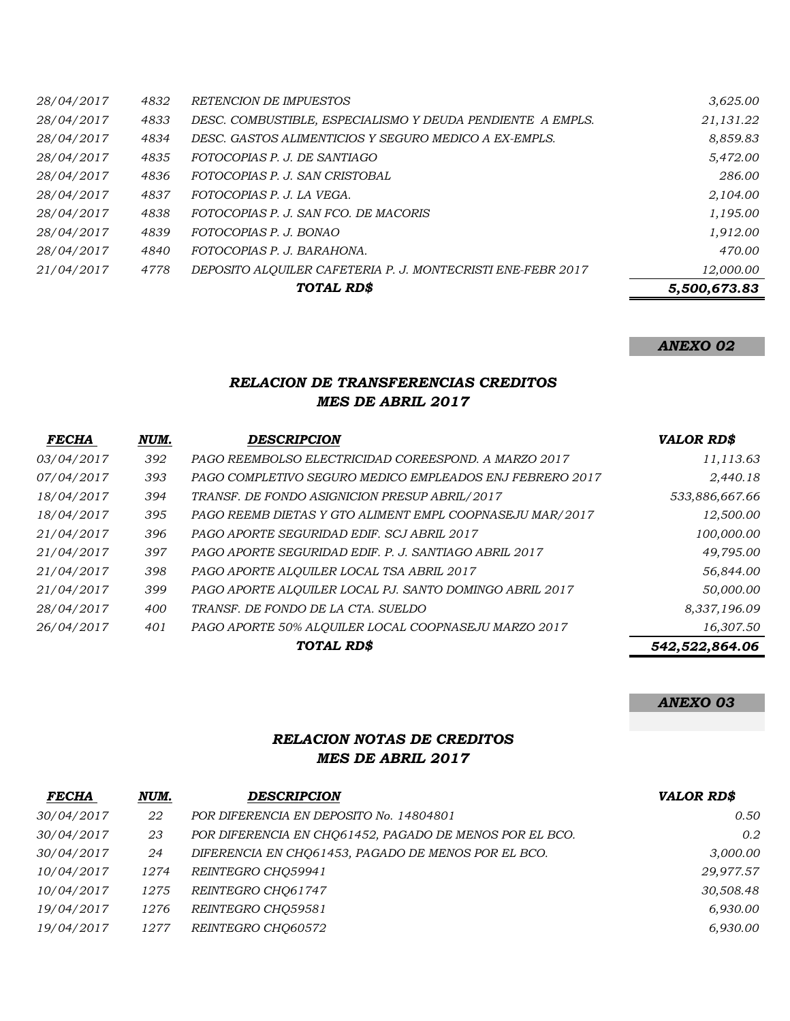| 28/04/2017<br>28/04/2017 | 4832<br>4833 | <b>RETENCION DE IMPUESTOS</b><br>DESC. COMBUSTIBLE, ESPECIALISMO Y DEUDA PENDIENTE A EMPLS. | 3,625.00     |
|--------------------------|--------------|---------------------------------------------------------------------------------------------|--------------|
|                          |              |                                                                                             | 21,131.22    |
| 28/04/2017               | 4834         | DESC. GASTOS ALIMENTICIOS Y SEGURO MEDICO A EX-EMPLS.                                       | 8,859.83     |
| 28/04/2017               | 4835         | FOTOCOPIAS P. J. DE SANTIAGO                                                                | 5,472.00     |
| 28/04/2017               | 4836         | FOTOCOPIAS P. J. SAN CRISTOBAL                                                              | 286.00       |
| 28/04/2017               | 4837         | FOTOCOPIAS P. J. LA VEGA.                                                                   | 2,104.00     |
| 28/04/2017               | 4838         | FOTOCOPIAS P. J. SAN FCO. DE MACORIS                                                        | 1,195.00     |
| 28/04/2017               | 4839         | FOTOCOPIAS P. J. BONAO                                                                      | 1,912.00     |
| 28/04/2017               | 4840         | FOTOCOPIAS P. J. BARAHONA.                                                                  | 470.00       |
| 21/04/2017               | 4778         | DEPOSITO ALOUILER CAFETERIA P. J. MONTECRISTI ENE-FEBR 2017                                 | 12,000.00    |
|                          |              | TOTAL RD\$                                                                                  | 5,500,673.83 |

*ANEXO 02*

## *RELACION DE TRANSFERENCIAS CREDITOS MES DE ABRIL 2017*

| <b>FECHA</b> | NUM. | <b>DESCRIPCION</b>                                       | <b>VALOR RD\$</b> |
|--------------|------|----------------------------------------------------------|-------------------|
| 03/04/2017   | 392  | PAGO REEMBOLSO ELECTRICIDAD COREESPOND. A MARZO 2017     | 11,113.63         |
| 07/04/2017   | 393  | PAGO COMPLETIVO SEGURO MEDICO EMPLEADOS ENJ FEBRERO 2017 | 2,440.18          |
| 18/04/2017   | 394  | TRANSF. DE FONDO ASIGNICION PRESUP ABRIL/2017            | 533,886,667.66    |
| 18/04/2017   | 395  | PAGO REEMB DIETAS Y GTO ALIMENT EMPL COOPNASEJU MAR/2017 | 12,500.00         |
| 21/04/2017   | 396  | PAGO APORTE SEGURIDAD EDIF. SCJ ABRIL 2017               | 100,000.00        |
| 21/04/2017   | 397  | PAGO APORTE SEGURIDAD EDIF. P. J. SANTIAGO ABRIL 2017    | 49,795.00         |
| 21/04/2017   | 398  | PAGO APORTE ALQUILER LOCAL TSA ABRIL 2017                | 56,844.00         |
| 21/04/2017   | 399  | PAGO APORTE ALOUILER LOCAL PJ. SANTO DOMINGO ABRIL 2017  | 50,000.00         |
| 28/04/2017   | 400  | TRANSF. DE FONDO DE LA CTA. SUELDO                       | 8,337,196.09      |
| 26/04/2017   | 401  | PAGO APORTE 50% ALQUILER LOCAL COOPNASEJU MARZO 2017     | 16,307.50         |
|              |      | TOTAL RD\$                                               | 542,522,864.06    |

*ANEXO 03*

## *RELACION NOTAS DE CREDITOS MES DE ABRIL 2017*

| <b>FECHA</b> | NUM. | <b>DESCRIPCION</b>                                      | <b>VALOR RD\$</b> |
|--------------|------|---------------------------------------------------------|-------------------|
| 30/04/2017   | 22   | POR DIFERENCIA EN DEPOSITO No. 14804801                 | 0.50              |
| 30/04/2017   | 23   | POR DIFERENCIA EN CHO61452, PAGADO DE MENOS POR EL BCO. | 0.2               |
| 30/04/2017   | 24   | DIFERENCIA EN CHO61453, PAGADO DE MENOS POR EL BCO.     | 3,000.00          |
| 10/04/2017   | 1274 | REINTEGRO CHO59941                                      | 29,977.57         |
| 10/04/2017   | 1275 | REINTEGRO CHO61747                                      | 30,508.48         |
| 19/04/2017   | 1276 | REINTEGRO CHO59581                                      | 6,930.00          |
| 19/04/2017   | 1277 | REINTEGRO CHO60572                                      | 6,930.00          |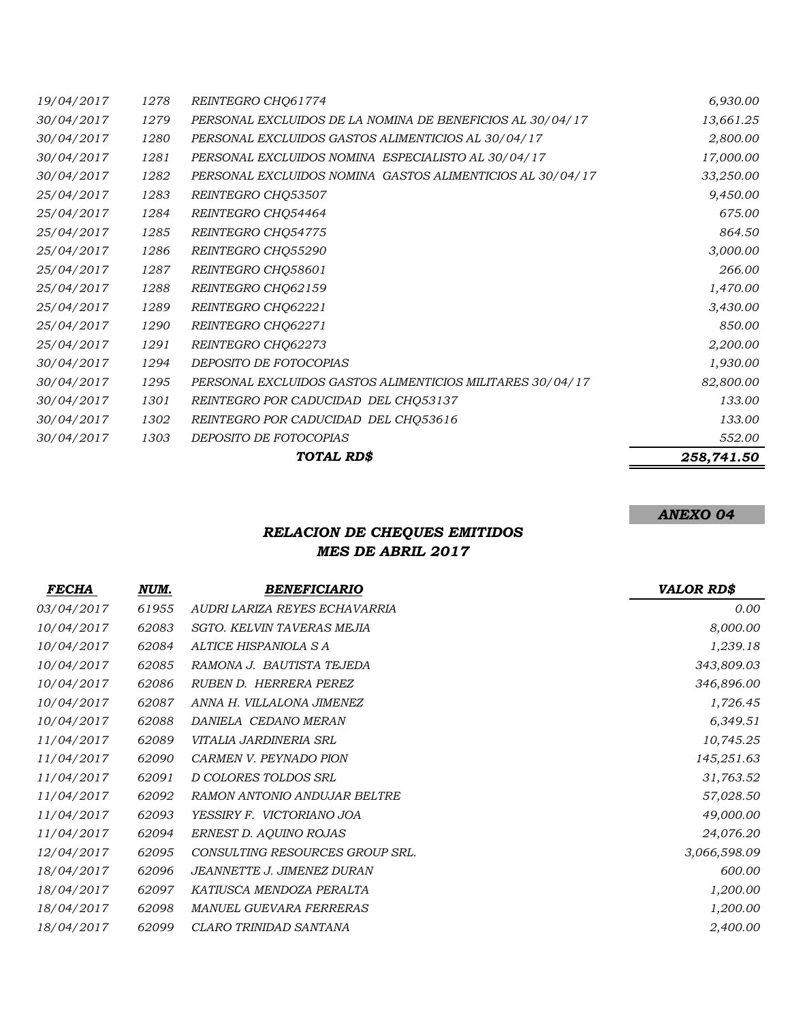|            |      | TOTAL RD\$                                                | 258,741.50 |
|------------|------|-----------------------------------------------------------|------------|
| 30/04/2017 | 1303 | DEPOSITO DE FOTOCOPIAS                                    | 552.00     |
| 30/04/2017 | 1302 | REINTEGRO POR CADUCIDAD DEL CHQ53616                      | 133.00     |
| 30/04/2017 | 1301 | REINTEGRO POR CADUCIDAD DEL CHQ53137                      | 133.00     |
| 30/04/2017 | 1295 | PERSONAL EXCLUIDOS GASTOS ALIMENTICIOS MILITARES 30/04/17 | 82,800.00  |
| 30/04/2017 | 1294 | DEPOSITO DE FOTOCOPIAS                                    | 1,930.00   |
| 25/04/2017 | 1291 | REINTEGRO CHQ62273                                        | 2,200.00   |
| 25/04/2017 | 1290 | REINTEGRO CHQ62271                                        | 850.00     |
| 25/04/2017 | 1289 | REINTEGRO CHQ62221                                        | 3,430.00   |
| 25/04/2017 | 1288 | REINTEGRO CHQ62159                                        | 1,470.00   |
| 25/04/2017 | 1287 | REINTEGRO CHQ58601                                        | 266.00     |
| 25/04/2017 | 1286 | REINTEGRO CHQ55290                                        | 3,000.00   |
| 25/04/2017 | 1285 | REINTEGRO CHQ54775                                        | 864.50     |
| 25/04/2017 | 1284 | REINTEGRO CHQ54464                                        | 675.00     |
| 25/04/2017 | 1283 | REINTEGRO CHQ53507                                        | 9,450.00   |
| 30/04/2017 | 1282 | PERSONAL EXCLUIDOS NOMINA GASTOS ALIMENTICIOS AL 30/04/17 | 33,250.00  |
| 30/04/2017 | 1281 | PERSONAL EXCLUIDOS NOMINA ESPECIALISTO AL 30/04/17        | 17,000.00  |
| 30/04/2017 | 1280 | PERSONAL EXCLUIDOS GASTOS ALIMENTICIOS AL 30/04/17        | 2,800.00   |
| 30/04/2017 | 1279 | PERSONAL EXCLUIDOS DE LA NOMINA DE BENEFICIOS AL 30/04/17 | 13,661.25  |
| 19/04/2017 | 1278 | REINTEGRO CHO61774                                        | 6,930.00   |

*ANEXO 04*

# *RELACION DE CHEQUES EMITIDOS MES DE ABRIL 2017*

| <b>FECHA</b> | NUM.  | <b>BENEFICIARIO</b>               | <b>VALOR RD\$</b> |
|--------------|-------|-----------------------------------|-------------------|
| 03/04/2017   | 61955 | AUDRI LARIZA REYES ECHAVARRIA     | 0.00              |
| 10/04/2017   | 62083 | <b>SGTO. KELVIN TAVERAS MEJIA</b> | 8,000.00          |
| 10/04/2017   | 62084 | ALTICE HISPANIOLA S A             | 1,239.18          |
| 10/04/2017   | 62085 | RAMONA J. BAUTISTA TEJEDA         | 343,809.03        |
| 10/04/2017   | 62086 | RUBEN D. HERRERA PEREZ            | 346,896.00        |
| 10/04/2017   | 62087 | ANNA H. VILLALONA JIMENEZ         | 1,726.45          |
| 10/04/2017   | 62088 | DANIELA CEDANO MERAN              | 6,349.51          |
| 11/04/2017   | 62089 | VITALIA JARDINERIA SRL            | 10,745.25         |
| 11/04/2017   | 62090 | CARMEN V. PEYNADO PION            | 145,251.63        |
| 11/04/2017   | 62091 | D COLORES TOLDOS SRL              | 31,763.52         |
| 11/04/2017   | 62092 | RAMON ANTONIO ANDUJAR BELTRE      | 57,028.50         |
| 11/04/2017   | 62093 | YESSIRY F. VICTORIANO JOA         | 49,000.00         |
| 11/04/2017   | 62094 | ERNEST D. AQUINO ROJAS            | 24,076.20         |
| 12/04/2017   | 62095 | CONSULTING RESOURCES GROUP SRL.   | 3,066,598.09      |
| 18/04/2017   | 62096 | JEANNETTE J. JIMENEZ DURAN        | 600.00            |
| 18/04/2017   | 62097 | KATIUSCA MENDOZA PERALTA          | 1,200.00          |
| 18/04/2017   | 62098 | MANUEL GUEVARA FERRERAS           | 1,200.00          |
| 18/04/2017   | 62099 | CLARO TRINIDAD SANTANA            | 2,400.00          |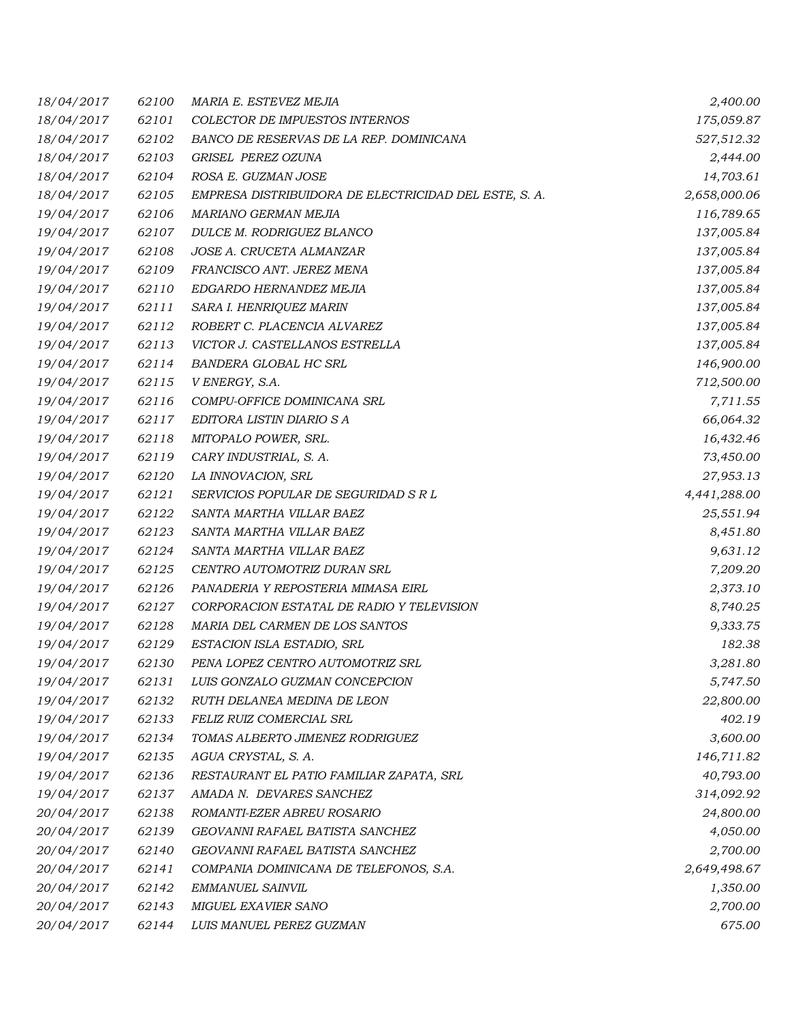| 18/04/2017 | 62100 | MARIA E. ESTEVEZ MEJIA                                | 2,400.00     |
|------------|-------|-------------------------------------------------------|--------------|
| 18/04/2017 | 62101 | COLECTOR DE IMPUESTOS INTERNOS                        | 175,059.87   |
| 18/04/2017 | 62102 | BANCO DE RESERVAS DE LA REP. DOMINICANA               | 527,512.32   |
| 18/04/2017 | 62103 | GRISEL PEREZ OZUNA                                    | 2,444.00     |
| 18/04/2017 | 62104 | ROSA E. GUZMAN JOSE                                   | 14,703.61    |
| 18/04/2017 | 62105 | EMPRESA DISTRIBUIDORA DE ELECTRICIDAD DEL ESTE, S. A. | 2,658,000.06 |
| 19/04/2017 | 62106 | MARIANO GERMAN MEJIA                                  | 116,789.65   |
| 19/04/2017 | 62107 | DULCE M. RODRIGUEZ BLANCO                             | 137,005.84   |
| 19/04/2017 | 62108 | JOSE A. CRUCETA ALMANZAR                              | 137,005.84   |
| 19/04/2017 | 62109 | FRANCISCO ANT. JEREZ MENA                             | 137,005.84   |
| 19/04/2017 | 62110 | EDGARDO HERNANDEZ MEJIA                               | 137,005.84   |
| 19/04/2017 | 62111 | SARA I. HENRIQUEZ MARIN                               | 137,005.84   |
| 19/04/2017 | 62112 | ROBERT C. PLACENCIA ALVAREZ                           | 137,005.84   |
| 19/04/2017 | 62113 | VICTOR J. CASTELLANOS ESTRELLA                        | 137,005.84   |
| 19/04/2017 | 62114 | BANDERA GLOBAL HC SRL                                 | 146,900.00   |
| 19/04/2017 | 62115 | V ENERGY, S.A.                                        | 712,500.00   |
| 19/04/2017 | 62116 | COMPU-OFFICE DOMINICANA SRL                           | 7,711.55     |
| 19/04/2017 | 62117 | EDITORA LISTIN DIARIO S A                             | 66,064.32    |
| 19/04/2017 | 62118 | MITOPALO POWER, SRL.                                  | 16,432.46    |
| 19/04/2017 | 62119 | CARY INDUSTRIAL, S. A.                                | 73,450.00    |
| 19/04/2017 | 62120 | LA INNOVACION, SRL                                    | 27,953.13    |
| 19/04/2017 | 62121 | SERVICIOS POPULAR DE SEGURIDAD S R L                  | 4,441,288.00 |
| 19/04/2017 | 62122 | SANTA MARTHA VILLAR BAEZ                              | 25,551.94    |
| 19/04/2017 | 62123 | SANTA MARTHA VILLAR BAEZ                              | 8,451.80     |
| 19/04/2017 | 62124 | SANTA MARTHA VILLAR BAEZ                              | 9,631.12     |
| 19/04/2017 | 62125 | CENTRO AUTOMOTRIZ DURAN SRL                           | 7,209.20     |
| 19/04/2017 | 62126 | PANADERIA Y REPOSTERIA MIMASA EIRL                    | 2,373.10     |
| 19/04/2017 | 62127 | CORPORACION ESTATAL DE RADIO Y TELEVISION             | 8,740.25     |
| 19/04/2017 | 62128 | MARIA DEL CARMEN DE LOS SANTOS                        | 9,333.75     |
| 19/04/2017 | 62129 | ESTACION ISLA ESTADIO, SRL                            | 182.38       |
| 19/04/2017 | 62130 | PENA LOPEZ CENTRO AUTOMOTRIZ SRL                      | 3,281.80     |
| 19/04/2017 | 62131 | LUIS GONZALO GUZMAN CONCEPCION                        | 5,747.50     |
| 19/04/2017 | 62132 | RUTH DELANEA MEDINA DE LEON                           | 22,800.00    |
| 19/04/2017 | 62133 | FELIZ RUIZ COMERCIAL SRL                              | 402.19       |
| 19/04/2017 | 62134 | TOMAS ALBERTO JIMENEZ RODRIGUEZ                       | 3,600.00     |
| 19/04/2017 | 62135 | AGUA CRYSTAL, S. A.                                   | 146,711.82   |
| 19/04/2017 | 62136 | RESTAURANT EL PATIO FAMILIAR ZAPATA, SRL              | 40,793.00    |
| 19/04/2017 | 62137 | AMADA N. DEVARES SANCHEZ                              | 314,092.92   |
| 20/04/2017 | 62138 | ROMANTI-EZER ABREU ROSARIO                            | 24,800.00    |
| 20/04/2017 | 62139 | GEOVANNI RAFAEL BATISTA SANCHEZ                       | 4,050.00     |
| 20/04/2017 | 62140 | GEOVANNI RAFAEL BATISTA SANCHEZ                       | 2,700.00     |
| 20/04/2017 | 62141 | COMPANIA DOMINICANA DE TELEFONOS, S.A.                | 2,649,498.67 |
| 20/04/2017 | 62142 | EMMANUEL SAINVIL                                      | 1,350.00     |
| 20/04/2017 | 62143 | MIGUEL EXAVIER SANO                                   | 2,700.00     |
| 20/04/2017 | 62144 | LUIS MANUEL PEREZ GUZMAN                              | 675.00       |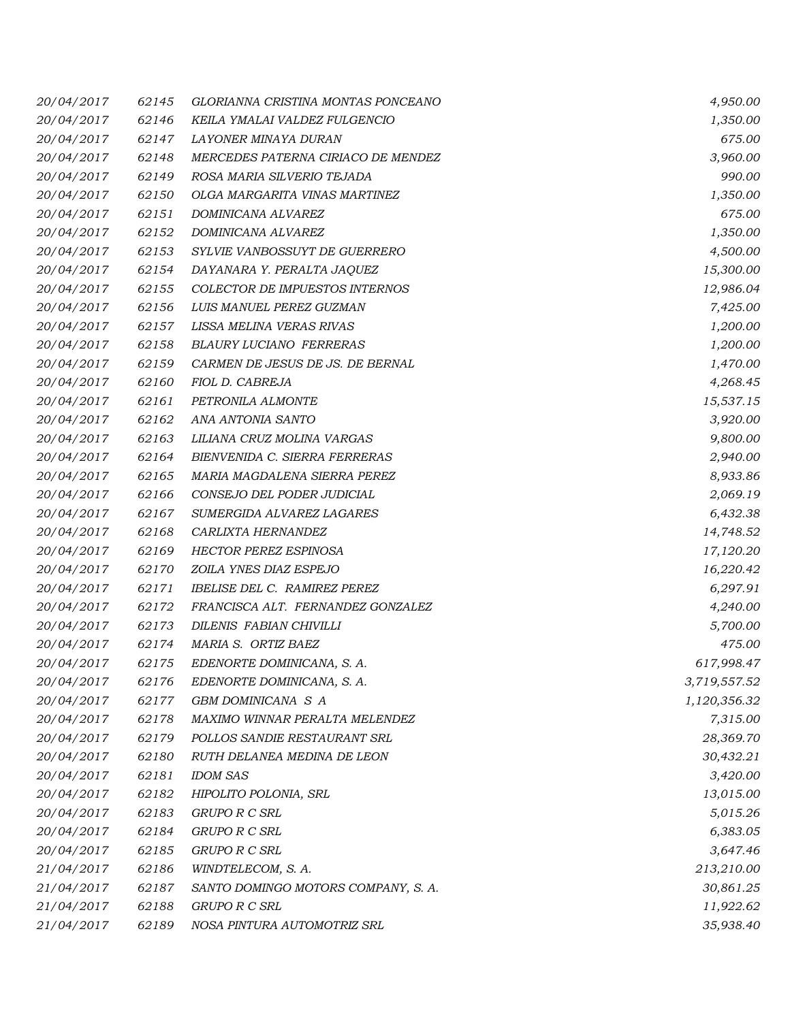| 20/04/2017 | 62145 | GLORIANNA CRISTINA MONTAS PONCEANO    | 4,950.00     |
|------------|-------|---------------------------------------|--------------|
| 20/04/2017 | 62146 | KEILA YMALAI VALDEZ FULGENCIO         | 1,350.00     |
| 20/04/2017 | 62147 | LAYONER MINAYA DURAN                  | 675.00       |
| 20/04/2017 | 62148 | MERCEDES PATERNA CIRIACO DE MENDEZ    | 3,960.00     |
| 20/04/2017 | 62149 | ROSA MARIA SILVERIO TEJADA            | 990.00       |
| 20/04/2017 | 62150 | OLGA MARGARITA VINAS MARTINEZ         | 1,350.00     |
| 20/04/2017 | 62151 | DOMINICANA ALVAREZ                    | 675.00       |
| 20/04/2017 | 62152 | DOMINICANA ALVAREZ                    | 1,350.00     |
| 20/04/2017 | 62153 | SYLVIE VANBOSSUYT DE GUERRERO         | 4,500.00     |
| 20/04/2017 | 62154 | DAYANARA Y. PERALTA JAQUEZ            | 15,300.00    |
| 20/04/2017 | 62155 | <b>COLECTOR DE IMPUESTOS INTERNOS</b> | 12,986.04    |
| 20/04/2017 | 62156 | LUIS MANUEL PEREZ GUZMAN              | 7,425.00     |
| 20/04/2017 | 62157 | LISSA MELINA VERAS RIVAS              | 1,200.00     |
| 20/04/2017 | 62158 | <b>BLAURY LUCIANO FERRERAS</b>        | 1,200.00     |
| 20/04/2017 | 62159 | CARMEN DE JESUS DE JS. DE BERNAL      | 1,470.00     |
| 20/04/2017 | 62160 | FIOL D. CABREJA                       | 4,268.45     |
| 20/04/2017 | 62161 | PETRONILA ALMONTE                     | 15,537.15    |
| 20/04/2017 | 62162 | ANA ANTONIA SANTO                     | 3,920.00     |
| 20/04/2017 | 62163 | LILIANA CRUZ MOLINA VARGAS            | 9,800.00     |
| 20/04/2017 | 62164 | BIENVENIDA C. SIERRA FERRERAS         | 2,940.00     |
| 20/04/2017 | 62165 | MARIA MAGDALENA SIERRA PEREZ          | 8,933.86     |
| 20/04/2017 | 62166 | CONSEJO DEL PODER JUDICIAL            | 2,069.19     |
| 20/04/2017 | 62167 | SUMERGIDA ALVAREZ LAGARES             | 6,432.38     |
| 20/04/2017 | 62168 | CARLIXTA HERNANDEZ                    | 14,748.52    |
| 20/04/2017 | 62169 | <b>HECTOR PEREZ ESPINOSA</b>          | 17,120.20    |
| 20/04/2017 | 62170 | ZOILA YNES DIAZ ESPEJO                | 16,220.42    |
| 20/04/2017 | 62171 | IBELISE DEL C. RAMIREZ PEREZ          | 6,297.91     |
| 20/04/2017 | 62172 | FRANCISCA ALT. FERNANDEZ GONZALEZ     | 4,240.00     |
| 20/04/2017 | 62173 | DILENIS FABIAN CHIVILLI               | 5,700.00     |
| 20/04/2017 | 62174 | MARIA S. ORTIZ BAEZ                   | 475.00       |
| 20/04/2017 | 62175 | EDENORTE DOMINICANA, S. A.            | 617,998.47   |
| 20/04/2017 | 62176 | EDENORTE DOMINICANA, S. A.            | 3,719,557.52 |
| 20/04/2017 | 62177 | GBM DOMINICANA S A                    | 1,120,356.32 |
| 20/04/2017 | 62178 | MAXIMO WINNAR PERALTA MELENDEZ        | 7,315.00     |
| 20/04/2017 | 62179 | POLLOS SANDIE RESTAURANT SRL          | 28,369.70    |
| 20/04/2017 | 62180 | RUTH DELANEA MEDINA DE LEON           | 30,432.21    |
| 20/04/2017 | 62181 | <b>IDOM SAS</b>                       | 3,420.00     |
| 20/04/2017 | 62182 | HIPOLITO POLONIA, SRL                 | 13,015.00    |
| 20/04/2017 | 62183 | <b>GRUPO R C SRL</b>                  | 5,015.26     |
| 20/04/2017 | 62184 | GRUPO R C SRL                         | 6,383.05     |
| 20/04/2017 | 62185 | <b>GRUPO R C SRL</b>                  | 3,647.46     |
| 21/04/2017 | 62186 | WINDTELECOM, S. A.                    | 213,210.00   |
| 21/04/2017 | 62187 | SANTO DOMINGO MOTORS COMPANY, S. A.   | 30,861.25    |
| 21/04/2017 | 62188 | GRUPO R C SRL                         | 11,922.62    |
| 21/04/2017 | 62189 | NOSA PINTURA AUTOMOTRIZ SRL           | 35,938.40    |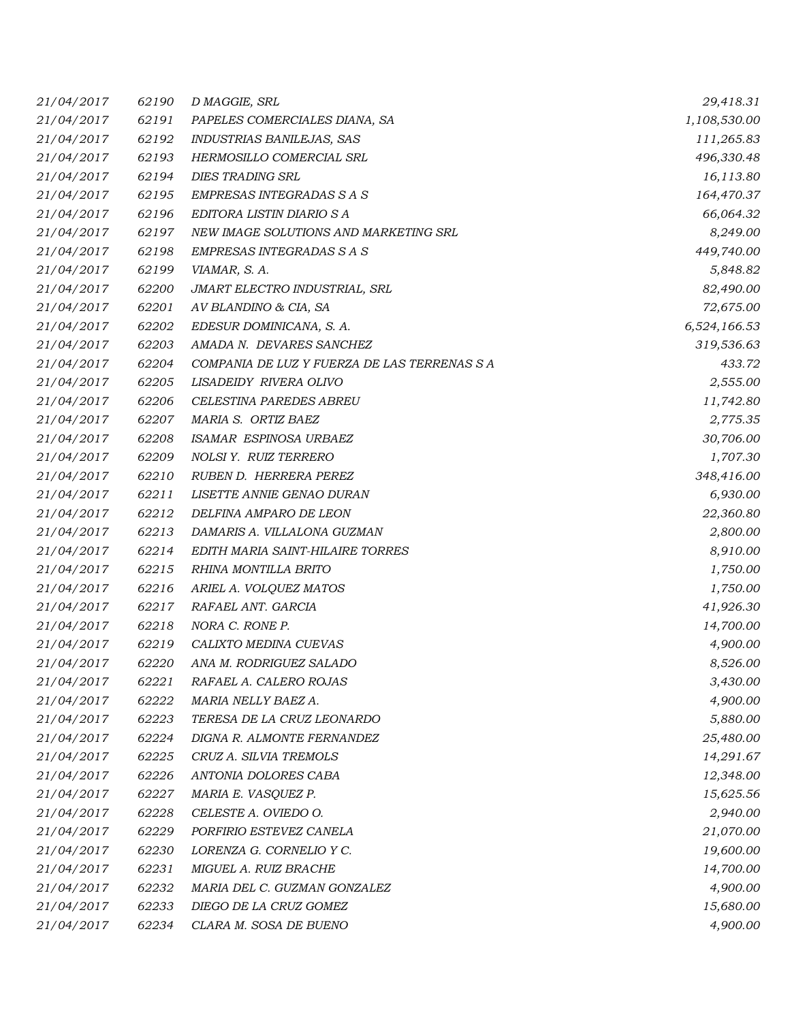| 21/04/2017 | 62190 | D MAGGIE, SRL                                | 29,418.31    |
|------------|-------|----------------------------------------------|--------------|
| 21/04/2017 | 62191 | PAPELES COMERCIALES DIANA, SA                | 1,108,530.00 |
| 21/04/2017 | 62192 | INDUSTRIAS BANILEJAS, SAS                    | 111,265.83   |
| 21/04/2017 | 62193 | HERMOSILLO COMERCIAL SRL                     | 496,330.48   |
| 21/04/2017 | 62194 | <b>DIES TRADING SRL</b>                      | 16,113.80    |
| 21/04/2017 | 62195 | EMPRESAS INTEGRADAS S A S                    | 164,470.37   |
| 21/04/2017 | 62196 | EDITORA LISTIN DIARIO S A                    | 66,064.32    |
| 21/04/2017 | 62197 | NEW IMAGE SOLUTIONS AND MARKETING SRL        | 8,249.00     |
| 21/04/2017 | 62198 | EMPRESAS INTEGRADAS S A S                    | 449,740.00   |
| 21/04/2017 | 62199 | VIAMAR, S. A.                                | 5,848.82     |
| 21/04/2017 | 62200 | JMART ELECTRO INDUSTRIAL, SRL                | 82,490.00    |
| 21/04/2017 | 62201 | AV BLANDINO & CIA, SA                        | 72,675.00    |
| 21/04/2017 | 62202 | EDESUR DOMINICANA, S. A.                     | 6,524,166.53 |
| 21/04/2017 | 62203 | AMADA N. DEVARES SANCHEZ                     | 319,536.63   |
| 21/04/2017 | 62204 | COMPANIA DE LUZ Y FUERZA DE LAS TERRENAS S A | 433.72       |
| 21/04/2017 | 62205 | LISADEIDY RIVERA OLIVO                       | 2,555.00     |
| 21/04/2017 | 62206 | CELESTINA PAREDES ABREU                      | 11,742.80    |
| 21/04/2017 | 62207 | MARIA S. ORTIZ BAEZ                          | 2,775.35     |
| 21/04/2017 | 62208 | ISAMAR ESPINOSA URBAEZ                       | 30,706.00    |
| 21/04/2017 | 62209 | NOLSI Y. RUIZ TERRERO                        | 1,707.30     |
| 21/04/2017 | 62210 | RUBEN D. HERRERA PEREZ                       | 348,416.00   |
| 21/04/2017 | 62211 | LISETTE ANNIE GENAO DURAN                    | 6,930.00     |
| 21/04/2017 | 62212 | DELFINA AMPARO DE LEON                       | 22,360.80    |
| 21/04/2017 | 62213 | DAMARIS A. VILLALONA GUZMAN                  | 2,800.00     |
| 21/04/2017 | 62214 | EDITH MARIA SAINT-HILAIRE TORRES             | 8,910.00     |
| 21/04/2017 | 62215 | RHINA MONTILLA BRITO                         | 1,750.00     |
| 21/04/2017 | 62216 | ARIEL A. VOLQUEZ MATOS                       | 1,750.00     |
| 21/04/2017 | 62217 | RAFAEL ANT. GARCIA                           | 41,926.30    |
| 21/04/2017 | 62218 | NORA C. RONE P.                              | 14,700.00    |
| 21/04/2017 | 62219 | CALIXTO MEDINA CUEVAS                        | 4,900.00     |
| 21/04/2017 | 62220 | ANA M. RODRIGUEZ SALADO                      | 8,526.00     |
| 21/04/2017 | 62221 | RAFAEL A. CALERO ROJAS                       | 3,430.00     |
| 21/04/2017 | 62222 | MARIA NELLY BAEZ A.                          | 4,900.00     |
| 21/04/2017 | 62223 | TERESA DE LA CRUZ LEONARDO                   | 5,880.00     |
| 21/04/2017 | 62224 | DIGNA R. ALMONTE FERNANDEZ                   | 25,480.00    |
| 21/04/2017 | 62225 | CRUZ A. SILVIA TREMOLS                       | 14,291.67    |
| 21/04/2017 | 62226 | ANTONIA DOLORES CABA                         | 12,348.00    |
| 21/04/2017 | 62227 | MARIA E. VASQUEZ P.                          | 15,625.56    |
| 21/04/2017 | 62228 | CELESTE A. OVIEDO O.                         | 2,940.00     |
| 21/04/2017 | 62229 | PORFIRIO ESTEVEZ CANELA                      | 21,070.00    |
| 21/04/2017 | 62230 | LORENZA G. CORNELIO Y C.                     | 19,600.00    |
| 21/04/2017 | 62231 | MIGUEL A. RUIZ BRACHE                        | 14,700.00    |
| 21/04/2017 | 62232 | MARIA DEL C. GUZMAN GONZALEZ                 | 4,900.00     |
| 21/04/2017 | 62233 | DIEGO DE LA CRUZ GOMEZ                       | 15,680.00    |
| 21/04/2017 | 62234 | CLARA M. SOSA DE BUENO                       | 4,900.00     |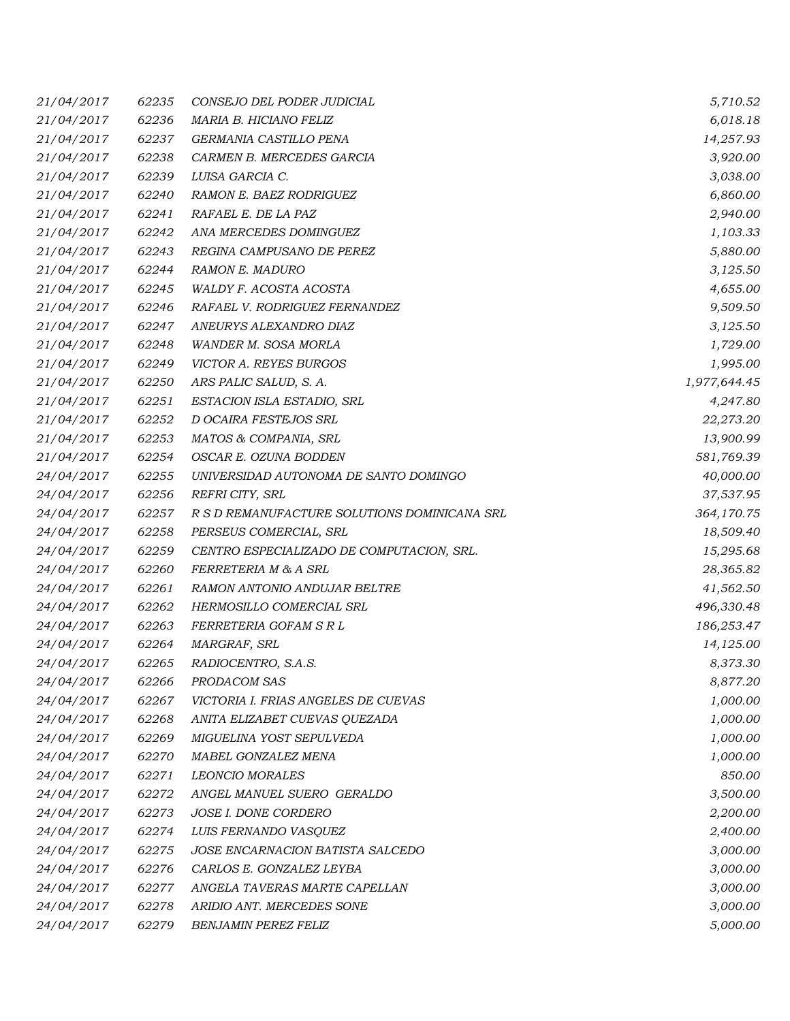| 21/04/2017 | 62235 | CONSEJO DEL PODER JUDICIAL                   | 5,710.52     |
|------------|-------|----------------------------------------------|--------------|
| 21/04/2017 | 62236 | MARIA B. HICIANO FELIZ                       | 6,018.18     |
| 21/04/2017 | 62237 | GERMANIA CASTILLO PENA                       | 14,257.93    |
| 21/04/2017 | 62238 | CARMEN B. MERCEDES GARCIA                    | 3,920.00     |
| 21/04/2017 | 62239 | LUISA GARCIA C.                              | 3,038.00     |
| 21/04/2017 | 62240 | RAMON E. BAEZ RODRIGUEZ                      | 6,860.00     |
| 21/04/2017 | 62241 | RAFAEL E. DE LA PAZ                          | 2,940.00     |
| 21/04/2017 | 62242 | ANA MERCEDES DOMINGUEZ                       | 1,103.33     |
| 21/04/2017 | 62243 | REGINA CAMPUSANO DE PEREZ                    | 5,880.00     |
| 21/04/2017 | 62244 | RAMON E. MADURO                              | 3,125.50     |
| 21/04/2017 | 62245 | WALDY F. ACOSTA ACOSTA                       | 4,655.00     |
| 21/04/2017 | 62246 | RAFAEL V. RODRIGUEZ FERNANDEZ                | 9,509.50     |
| 21/04/2017 | 62247 | ANEURYS ALEXANDRO DIAZ                       | 3,125.50     |
| 21/04/2017 | 62248 | WANDER M. SOSA MORLA                         | 1,729.00     |
| 21/04/2017 | 62249 | VICTOR A. REYES BURGOS                       | 1,995.00     |
| 21/04/2017 | 62250 | ARS PALIC SALUD, S. A.                       | 1,977,644.45 |
| 21/04/2017 | 62251 | ESTACION ISLA ESTADIO, SRL                   | 4,247.80     |
| 21/04/2017 | 62252 | D OCAIRA FESTEJOS SRL                        | 22,273.20    |
| 21/04/2017 | 62253 | MATOS & COMPANIA, SRL                        | 13,900.99    |
| 21/04/2017 | 62254 | OSCAR E. OZUNA BODDEN                        | 581,769.39   |
| 24/04/2017 | 62255 | UNIVERSIDAD AUTONOMA DE SANTO DOMINGO        | 40,000.00    |
| 24/04/2017 | 62256 | REFRI CITY, SRL                              | 37,537.95    |
| 24/04/2017 | 62257 | R S D REMANUFACTURE SOLUTIONS DOMINICANA SRL | 364,170.75   |
| 24/04/2017 | 62258 | PERSEUS COMERCIAL, SRL                       | 18,509.40    |
| 24/04/2017 | 62259 | CENTRO ESPECIALIZADO DE COMPUTACION, SRL.    | 15,295.68    |
| 24/04/2017 | 62260 | FERRETERIA M & A SRL                         | 28,365.82    |
| 24/04/2017 | 62261 | RAMON ANTONIO ANDUJAR BELTRE                 | 41,562.50    |
| 24/04/2017 | 62262 | HERMOSILLO COMERCIAL SRL                     | 496,330.48   |
| 24/04/2017 | 62263 | <i>FERRETERIA GOFAM S R L</i>                | 186,253.47   |
| 24/04/2017 | 62264 | MARGRAF, SRL                                 | 14,125.00    |
| 24/04/2017 | 62265 | RADIOCENTRO, S.A.S.                          | 8,373.30     |
| 24/04/2017 | 62266 | PRODACOM SAS                                 | 8,877.20     |
| 24/04/2017 | 62267 | VICTORIA I. FRIAS ANGELES DE CUEVAS          | 1,000.00     |
| 24/04/2017 | 62268 | ANITA ELIZABET CUEVAS QUEZADA                | 1,000.00     |
| 24/04/2017 | 62269 | MIGUELINA YOST SEPULVEDA                     | 1,000.00     |
| 24/04/2017 | 62270 | MABEL GONZALEZ MENA                          | 1,000.00     |
| 24/04/2017 | 62271 | <b>LEONCIO MORALES</b>                       | 850.00       |
| 24/04/2017 | 62272 | ANGEL MANUEL SUERO GERALDO                   | 3,500.00     |
| 24/04/2017 | 62273 | JOSE I. DONE CORDERO                         | 2,200.00     |
| 24/04/2017 | 62274 | LUIS FERNANDO VASQUEZ                        | 2,400.00     |
| 24/04/2017 | 62275 | JOSE ENCARNACION BATISTA SALCEDO             | 3,000.00     |
| 24/04/2017 | 62276 | CARLOS E. GONZALEZ LEYBA                     | 3,000.00     |
| 24/04/2017 | 62277 | ANGELA TAVERAS MARTE CAPELLAN                | 3,000.00     |
| 24/04/2017 | 62278 | ARIDIO ANT. MERCEDES SONE                    | 3,000.00     |
| 24/04/2017 | 62279 | <b>BENJAMIN PEREZ FELIZ</b>                  | 5,000.00     |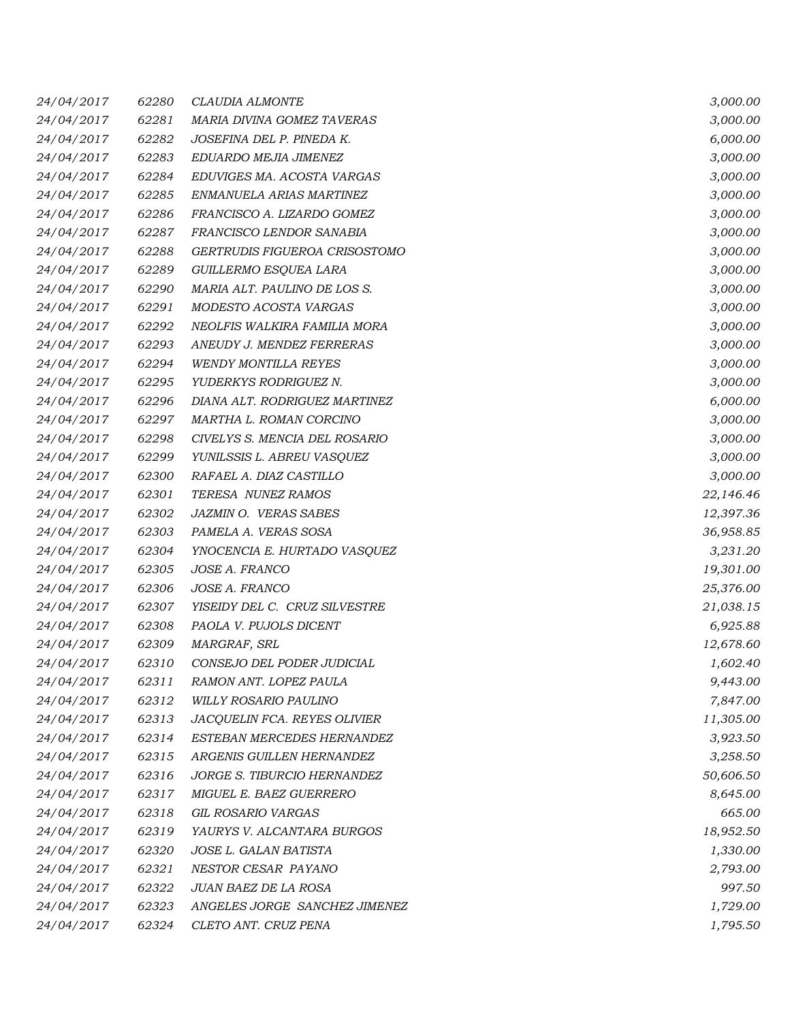| 24/04/2017 | 62280 | <i>CLAUDIA ALMONTE</i>        | 3,000.00  |
|------------|-------|-------------------------------|-----------|
| 24/04/2017 | 62281 | MARIA DIVINA GOMEZ TAVERAS    | 3,000.00  |
| 24/04/2017 | 62282 | JOSEFINA DEL P. PINEDA K.     | 6,000.00  |
| 24/04/2017 | 62283 | EDUARDO MEJIA JIMENEZ         | 3,000.00  |
| 24/04/2017 | 62284 | EDUVIGES MA. ACOSTA VARGAS    | 3,000.00  |
| 24/04/2017 | 62285 | ENMANUELA ARIAS MARTINEZ      | 3,000.00  |
| 24/04/2017 | 62286 | FRANCISCO A. LIZARDO GOMEZ    | 3,000.00  |
| 24/04/2017 | 62287 | FRANCISCO LENDOR SANABIA      | 3,000.00  |
| 24/04/2017 | 62288 | GERTRUDIS FIGUEROA CRISOSTOMO | 3,000.00  |
| 24/04/2017 | 62289 | GUILLERMO ESQUEA LARA         | 3,000.00  |
| 24/04/2017 | 62290 | MARIA ALT. PAULINO DE LOS S.  | 3,000.00  |
| 24/04/2017 | 62291 | MODESTO ACOSTA VARGAS         | 3,000.00  |
| 24/04/2017 | 62292 | NEOLFIS WALKIRA FAMILIA MORA  | 3,000.00  |
| 24/04/2017 | 62293 | ANEUDY J. MENDEZ FERRERAS     | 3,000.00  |
| 24/04/2017 | 62294 | <b>WENDY MONTILLA REYES</b>   | 3,000.00  |
| 24/04/2017 | 62295 | YUDERKYS RODRIGUEZ N.         | 3,000.00  |
| 24/04/2017 | 62296 | DIANA ALT. RODRIGUEZ MARTINEZ | 6,000.00  |
| 24/04/2017 | 62297 | MARTHA L. ROMAN CORCINO       | 3,000.00  |
| 24/04/2017 | 62298 | CIVELYS S. MENCIA DEL ROSARIO | 3,000.00  |
| 24/04/2017 | 62299 | YUNILSSIS L. ABREU VASQUEZ    | 3,000.00  |
| 24/04/2017 | 62300 | RAFAEL A. DIAZ CASTILLO       | 3,000.00  |
| 24/04/2017 | 62301 | TERESA NUNEZ RAMOS            | 22,146.46 |
| 24/04/2017 | 62302 | <b>JAZMIN O. VERAS SABES</b>  | 12,397.36 |
| 24/04/2017 | 62303 | PAMELA A. VERAS SOSA          | 36,958.85 |
| 24/04/2017 | 62304 | YNOCENCIA E. HURTADO VASQUEZ  | 3,231.20  |
| 24/04/2017 | 62305 | JOSE A. FRANCO                | 19,301.00 |
| 24/04/2017 | 62306 | <i>JOSE A. FRANCO</i>         | 25,376.00 |
| 24/04/2017 | 62307 | YISEIDY DEL C. CRUZ SILVESTRE | 21,038.15 |
| 24/04/2017 | 62308 | PAOLA V. PUJOLS DICENT        | 6,925.88  |
| 24/04/2017 | 62309 | MARGRAF, SRL                  | 12,678.60 |
| 24/04/2017 | 62310 | CONSEJO DEL PODER JUDICIAL    | 1,602.40  |
| 24/04/2017 | 62311 | RAMON ANT. LOPEZ PAULA        | 9,443.00  |
| 24/04/2017 | 62312 | <b>WILLY ROSARIO PAULINO</b>  | 7,847.00  |
| 24/04/2017 | 62313 | JACQUELIN FCA. REYES OLIVIER  | 11,305.00 |
| 24/04/2017 | 62314 | ESTEBAN MERCEDES HERNANDEZ    | 3,923.50  |
| 24/04/2017 | 62315 | ARGENIS GUILLEN HERNANDEZ     | 3,258.50  |
| 24/04/2017 | 62316 | JORGE S. TIBURCIO HERNANDEZ   | 50,606.50 |
| 24/04/2017 | 62317 | MIGUEL E. BAEZ GUERRERO       | 8,645.00  |
| 24/04/2017 | 62318 | GIL ROSARIO VARGAS            | 665.00    |
| 24/04/2017 | 62319 | YAURYS V. ALCANTARA BURGOS    | 18,952.50 |
| 24/04/2017 | 62320 | JOSE L. GALAN BATISTA         | 1,330.00  |
| 24/04/2017 | 62321 | NESTOR CESAR PAYANO           | 2,793.00  |
| 24/04/2017 | 62322 | JUAN BAEZ DE LA ROSA          | 997.50    |
| 24/04/2017 | 62323 | ANGELES JORGE SANCHEZ JIMENEZ | 1,729.00  |
| 24/04/2017 | 62324 | CLETO ANT. CRUZ PENA          | 1,795.50  |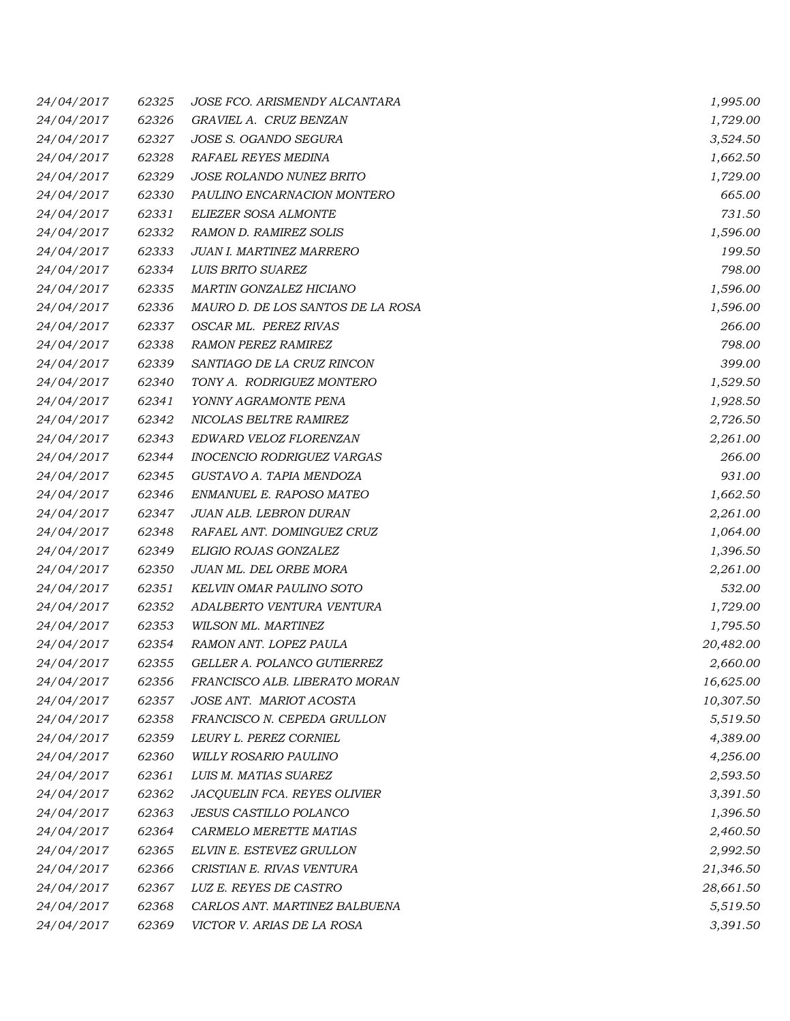| 24/04/2017 | 62325 | JOSE FCO. ARISMENDY ALCANTARA     | 1,995.00  |
|------------|-------|-----------------------------------|-----------|
| 24/04/2017 | 62326 | GRAVIEL A. CRUZ BENZAN            | 1,729.00  |
| 24/04/2017 | 62327 | JOSE S. OGANDO SEGURA             | 3,524.50  |
| 24/04/2017 | 62328 | RAFAEL REYES MEDINA               | 1,662.50  |
| 24/04/2017 | 62329 | JOSE ROLANDO NUNEZ BRITO          | 1,729.00  |
| 24/04/2017 | 62330 | PAULINO ENCARNACION MONTERO       | 665.00    |
| 24/04/2017 | 62331 | ELIEZER SOSA ALMONTE              | 731.50    |
| 24/04/2017 | 62332 | RAMON D. RAMIREZ SOLIS            | 1,596.00  |
| 24/04/2017 | 62333 | JUAN I. MARTINEZ MARRERO          | 199.50    |
| 24/04/2017 | 62334 | LUIS BRITO SUAREZ                 | 798.00    |
| 24/04/2017 | 62335 | <b>MARTIN GONZALEZ HICIANO</b>    | 1,596.00  |
| 24/04/2017 | 62336 | MAURO D. DE LOS SANTOS DE LA ROSA | 1,596.00  |
| 24/04/2017 | 62337 | OSCAR ML. PEREZ RIVAS             | 266.00    |
| 24/04/2017 | 62338 | <b>RAMON PEREZ RAMIREZ</b>        | 798.00    |
| 24/04/2017 | 62339 | SANTIAGO DE LA CRUZ RINCON        | 399.00    |
| 24/04/2017 | 62340 | TONY A. RODRIGUEZ MONTERO         | 1,529.50  |
| 24/04/2017 | 62341 | YONNY AGRAMONTE PENA              | 1,928.50  |
| 24/04/2017 | 62342 | NICOLAS BELTRE RAMIREZ            | 2,726.50  |
| 24/04/2017 | 62343 | EDWARD VELOZ FLORENZAN            | 2,261.00  |
| 24/04/2017 | 62344 | INOCENCIO RODRIGUEZ VARGAS        | 266.00    |
| 24/04/2017 | 62345 | GUSTAVO A. TAPIA MENDOZA          | 931.00    |
| 24/04/2017 | 62346 | ENMANUEL E. RAPOSO MATEO          | 1,662.50  |
| 24/04/2017 | 62347 | <b>JUAN ALB. LEBRON DURAN</b>     | 2,261.00  |
| 24/04/2017 | 62348 | RAFAEL ANT. DOMINGUEZ CRUZ        | 1,064.00  |
| 24/04/2017 | 62349 | ELIGIO ROJAS GONZALEZ             | 1,396.50  |
| 24/04/2017 | 62350 | JUAN ML. DEL ORBE MORA            | 2,261.00  |
| 24/04/2017 | 62351 | KELVIN OMAR PAULINO SOTO          | 532.00    |
| 24/04/2017 | 62352 | ADALBERTO VENTURA VENTURA         | 1,729.00  |
| 24/04/2017 | 62353 | WILSON ML. MARTINEZ               | 1,795.50  |
| 24/04/2017 | 62354 | RAMON ANT. LOPEZ PAULA            | 20,482.00 |
| 24/04/2017 | 62355 | GELLER A. POLANCO GUTIERREZ       | 2,660.00  |
| 24/04/2017 | 62356 | FRANCISCO ALB. LIBERATO MORAN     | 16,625.00 |
| 24/04/2017 | 62357 | JOSE ANT. MARIOT ACOSTA           | 10,307.50 |
| 24/04/2017 | 62358 | FRANCISCO N. CEPEDA GRULLON       | 5,519.50  |
| 24/04/2017 | 62359 | LEURY L. PEREZ CORNIEL            | 4,389.00  |
| 24/04/2017 | 62360 | WILLY ROSARIO PAULINO             | 4,256.00  |
| 24/04/2017 | 62361 | LUIS M. MATIAS SUAREZ             | 2,593.50  |
| 24/04/2017 | 62362 | JACQUELIN FCA. REYES OLIVIER      | 3,391.50  |
| 24/04/2017 | 62363 | <b>JESUS CASTILLO POLANCO</b>     | 1,396.50  |
| 24/04/2017 | 62364 | CARMELO MERETTE MATIAS            | 2,460.50  |
| 24/04/2017 | 62365 | ELVIN E. ESTEVEZ GRULLON          | 2,992.50  |
| 24/04/2017 | 62366 | CRISTIAN E. RIVAS VENTURA         | 21,346.50 |
| 24/04/2017 | 62367 | LUZ E. REYES DE CASTRO            | 28,661.50 |
| 24/04/2017 | 62368 | CARLOS ANT. MARTINEZ BALBUENA     | 5,519.50  |
| 24/04/2017 | 62369 | VICTOR V. ARIAS DE LA ROSA        | 3,391.50  |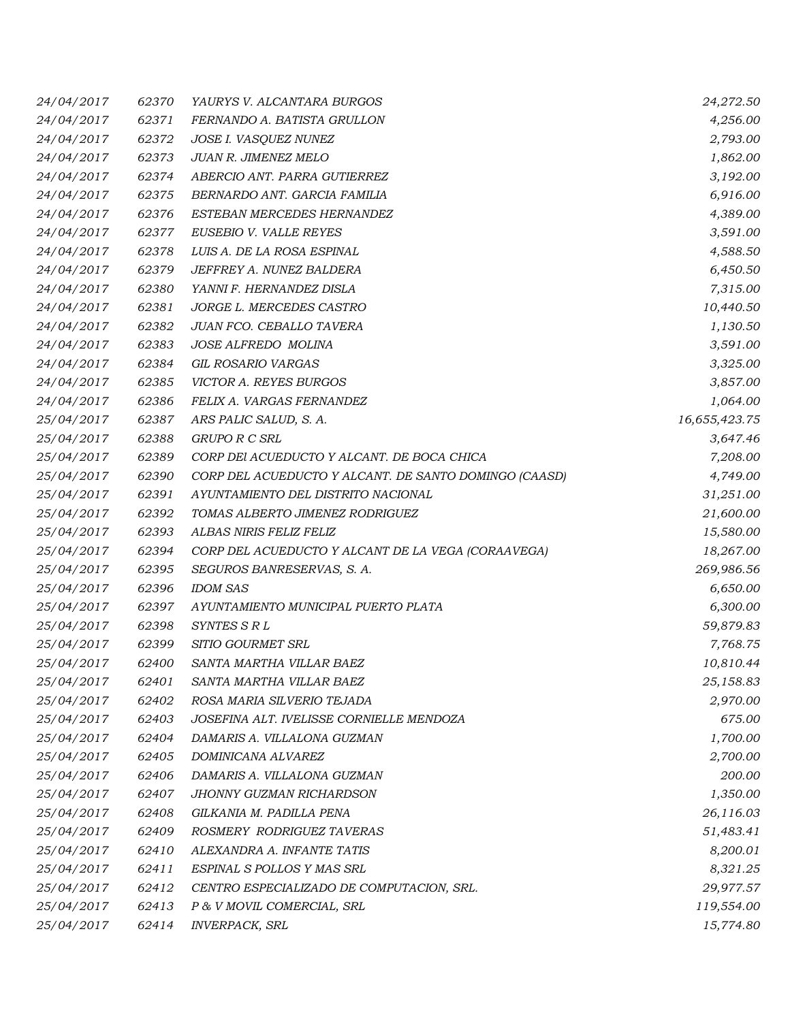| 24/04/2017 | 62370 | YAURYS V. ALCANTARA BURGOS                            | 24,272.50     |
|------------|-------|-------------------------------------------------------|---------------|
| 24/04/2017 | 62371 | FERNANDO A. BATISTA GRULLON                           | 4,256.00      |
| 24/04/2017 | 62372 | JOSE I. VASQUEZ NUNEZ                                 | 2,793.00      |
| 24/04/2017 | 62373 | JUAN R. JIMENEZ MELO                                  | 1,862.00      |
| 24/04/2017 | 62374 | ABERCIO ANT. PARRA GUTIERREZ                          | 3,192.00      |
| 24/04/2017 | 62375 | BERNARDO ANT. GARCIA FAMILIA                          | 6,916.00      |
| 24/04/2017 | 62376 | ESTEBAN MERCEDES HERNANDEZ                            | 4,389.00      |
| 24/04/2017 | 62377 | EUSEBIO V. VALLE REYES                                | 3,591.00      |
| 24/04/2017 | 62378 | LUIS A. DE LA ROSA ESPINAL                            | 4,588.50      |
| 24/04/2017 | 62379 | JEFFREY A. NUNEZ BALDERA                              | 6,450.50      |
| 24/04/2017 | 62380 | YANNI F. HERNANDEZ DISLA                              | 7,315.00      |
| 24/04/2017 | 62381 | JORGE L. MERCEDES CASTRO                              | 10,440.50     |
| 24/04/2017 | 62382 | JUAN FCO. CEBALLO TAVERA                              | 1,130.50      |
| 24/04/2017 | 62383 | JOSE ALFREDO MOLINA                                   | 3,591.00      |
| 24/04/2017 | 62384 | GIL ROSARIO VARGAS                                    | 3,325.00      |
| 24/04/2017 | 62385 | VICTOR A. REYES BURGOS                                | 3,857.00      |
| 24/04/2017 | 62386 | FELIX A. VARGAS FERNANDEZ                             | 1,064.00      |
| 25/04/2017 | 62387 | ARS PALIC SALUD, S. A.                                | 16,655,423.75 |
| 25/04/2017 | 62388 | <b>GRUPO R C SRL</b>                                  | 3,647.46      |
| 25/04/2017 | 62389 | CORP DEI ACUEDUCTO Y ALCANT. DE BOCA CHICA            | 7,208.00      |
| 25/04/2017 | 62390 | CORP DEL ACUEDUCTO Y ALCANT. DE SANTO DOMINGO (CAASD) | 4,749.00      |
| 25/04/2017 | 62391 | AYUNTAMIENTO DEL DISTRITO NACIONAL                    | 31,251.00     |
| 25/04/2017 | 62392 | TOMAS ALBERTO JIMENEZ RODRIGUEZ                       | 21,600.00     |
| 25/04/2017 | 62393 | ALBAS NIRIS FELIZ FELIZ                               | 15,580.00     |
| 25/04/2017 | 62394 | CORP DEL ACUEDUCTO Y ALCANT DE LA VEGA (CORAAVEGA)    | 18,267.00     |
| 25/04/2017 | 62395 | SEGUROS BANRESERVAS, S. A.                            | 269,986.56    |
| 25/04/2017 | 62396 | IDOM SAS                                              | 6,650.00      |
| 25/04/2017 | 62397 | AYUNTAMIENTO MUNICIPAL PUERTO PLATA                   | 6,300.00      |
| 25/04/2017 | 62398 | SYNTES SRL                                            | 59,879.83     |
| 25/04/2017 | 62399 | SITIO GOURMET SRL                                     | 7,768.75      |
| 25/04/2017 | 62400 | SANTA MARTHA VILLAR BAEZ                              | 10,810.44     |
| 25/04/2017 | 62401 | SANTA MARTHA VILLAR BAEZ                              | 25,158.83     |
| 25/04/2017 | 62402 | ROSA MARIA SILVERIO TEJADA                            | 2,970.00      |
| 25/04/2017 | 62403 | JOSEFINA ALT. IVELISSE CORNIELLE MENDOZA              | 675.00        |
| 25/04/2017 | 62404 | DAMARIS A. VILLALONA GUZMAN                           | 1,700.00      |
| 25/04/2017 | 62405 | DOMINICANA ALVAREZ                                    | 2,700.00      |
| 25/04/2017 | 62406 | DAMARIS A. VILLALONA GUZMAN                           | 200.00        |
| 25/04/2017 | 62407 | JHONNY GUZMAN RICHARDSON                              | 1,350.00      |
| 25/04/2017 | 62408 | GILKANIA M. PADILLA PENA                              | 26,116.03     |
| 25/04/2017 | 62409 | ROSMERY RODRIGUEZ TAVERAS                             | 51,483.41     |
| 25/04/2017 | 62410 | ALEXANDRA A. INFANTE TATIS                            | 8,200.01      |
| 25/04/2017 | 62411 | ESPINAL S POLLOS Y MAS SRL                            | 8,321.25      |
| 25/04/2017 | 62412 | CENTRO ESPECIALIZADO DE COMPUTACION, SRL.             | 29,977.57     |
| 25/04/2017 | 62413 | P & V MOVIL COMERCIAL, SRL                            | 119,554.00    |
| 25/04/2017 | 62414 | <b>INVERPACK, SRL</b>                                 | 15,774.80     |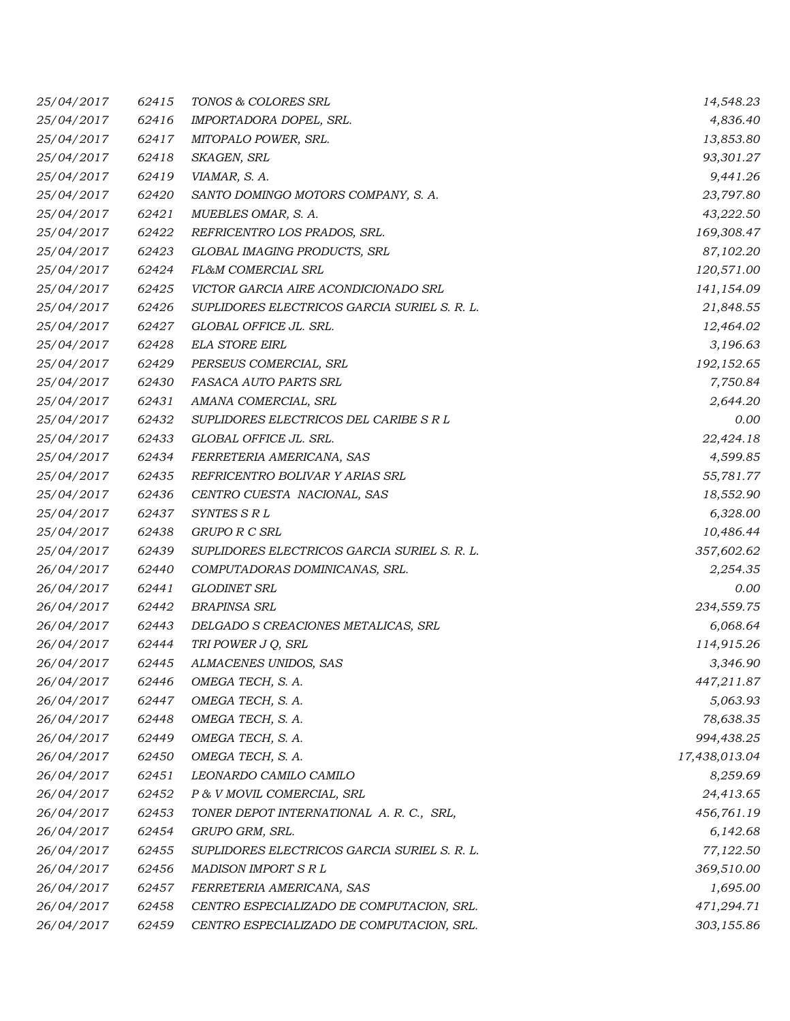| 25/04/2017 | 62415 | TONOS & COLORES SRL                          | 14,548.23     |
|------------|-------|----------------------------------------------|---------------|
| 25/04/2017 | 62416 | IMPORTADORA DOPEL, SRL.                      | 4,836.40      |
| 25/04/2017 | 62417 | MITOPALO POWER, SRL.                         | 13,853.80     |
| 25/04/2017 | 62418 | SKAGEN, SRL                                  | 93,301.27     |
| 25/04/2017 | 62419 | VIAMAR, S. A.                                | 9,441.26      |
| 25/04/2017 | 62420 | SANTO DOMINGO MOTORS COMPANY, S. A.          | 23,797.80     |
| 25/04/2017 | 62421 | MUEBLES OMAR, S. A.                          | 43,222.50     |
| 25/04/2017 | 62422 | REFRICENTRO LOS PRADOS, SRL.                 | 169,308.47    |
| 25/04/2017 | 62423 | GLOBAL IMAGING PRODUCTS, SRL                 | 87,102.20     |
| 25/04/2017 | 62424 | FL&M COMERCIAL SRL                           | 120,571.00    |
| 25/04/2017 | 62425 | VICTOR GARCIA AIRE ACONDICIONADO SRL         | 141,154.09    |
| 25/04/2017 | 62426 | SUPLIDORES ELECTRICOS GARCIA SURIEL S. R. L. | 21,848.55     |
| 25/04/2017 | 62427 | GLOBAL OFFICE JL. SRL.                       | 12,464.02     |
| 25/04/2017 | 62428 | <b>ELA STORE EIRL</b>                        | 3,196.63      |
| 25/04/2017 | 62429 | PERSEUS COMERCIAL, SRL                       | 192,152.65    |
| 25/04/2017 | 62430 | FASACA AUTO PARTS SRL                        | 7,750.84      |
| 25/04/2017 | 62431 | AMANA COMERCIAL, SRL                         | 2,644.20      |
| 25/04/2017 | 62432 | SUPLIDORES ELECTRICOS DEL CARIBE S R L       | 0.00          |
| 25/04/2017 | 62433 | GLOBAL OFFICE JL. SRL.                       | 22,424.18     |
| 25/04/2017 | 62434 | FERRETERIA AMERICANA, SAS                    | 4,599.85      |
| 25/04/2017 | 62435 | REFRICENTRO BOLIVAR Y ARIAS SRL              | 55,781.77     |
| 25/04/2017 | 62436 | CENTRO CUESTA NACIONAL, SAS                  | 18,552.90     |
| 25/04/2017 | 62437 | SYNTES S R L                                 | 6,328.00      |
| 25/04/2017 | 62438 | GRUPO R C SRL                                | 10,486.44     |
| 25/04/2017 | 62439 | SUPLIDORES ELECTRICOS GARCIA SURIEL S. R. L. | 357,602.62    |
| 26/04/2017 | 62440 | COMPUTADORAS DOMINICANAS, SRL.               | 2,254.35      |
| 26/04/2017 | 62441 | <b>GLODINET SRL</b>                          | 0.00          |
| 26/04/2017 | 62442 | <b>BRAPINSA SRL</b>                          | 234,559.75    |
| 26/04/2017 | 62443 | DELGADO S CREACIONES METALICAS, SRL          | 6,068.64      |
| 26/04/2017 | 62444 | TRI POWER J Q, SRL                           | 114,915.26    |
| 26/04/2017 | 62445 | ALMACENES UNIDOS, SAS                        | 3,346.90      |
| 26/04/2017 | 62446 | OMEGA TECH, S. A.                            | 447,211.87    |
| 26/04/2017 | 62447 | OMEGA TECH, S. A.                            | 5,063.93      |
| 26/04/2017 | 62448 | OMEGA TECH, S.A.                             | 78,638.35     |
| 26/04/2017 | 62449 | OMEGA TECH, S. A.                            | 994,438.25    |
| 26/04/2017 | 62450 | OMEGA TECH, S. A.                            | 17,438,013.04 |
| 26/04/2017 | 62451 | LEONARDO CAMILO CAMILO                       | 8,259.69      |
| 26/04/2017 | 62452 | P & V MOVIL COMERCIAL, SRL                   | 24,413.65     |
| 26/04/2017 | 62453 | TONER DEPOT INTERNATIONAL A.R.C., SRL,       | 456,761.19    |
| 26/04/2017 | 62454 | GRUPO GRM, SRL.                              | 6,142.68      |
| 26/04/2017 | 62455 | SUPLIDORES ELECTRICOS GARCIA SURIEL S. R. L. | 77,122.50     |
| 26/04/2017 | 62456 | MADISON IMPORT S R L                         | 369,510.00    |
| 26/04/2017 | 62457 | FERRETERIA AMERICANA, SAS                    | 1,695.00      |
| 26/04/2017 | 62458 | CENTRO ESPECIALIZADO DE COMPUTACION, SRL.    | 471,294.71    |
| 26/04/2017 | 62459 | CENTRO ESPECIALIZADO DE COMPUTACION, SRL.    | 303,155.86    |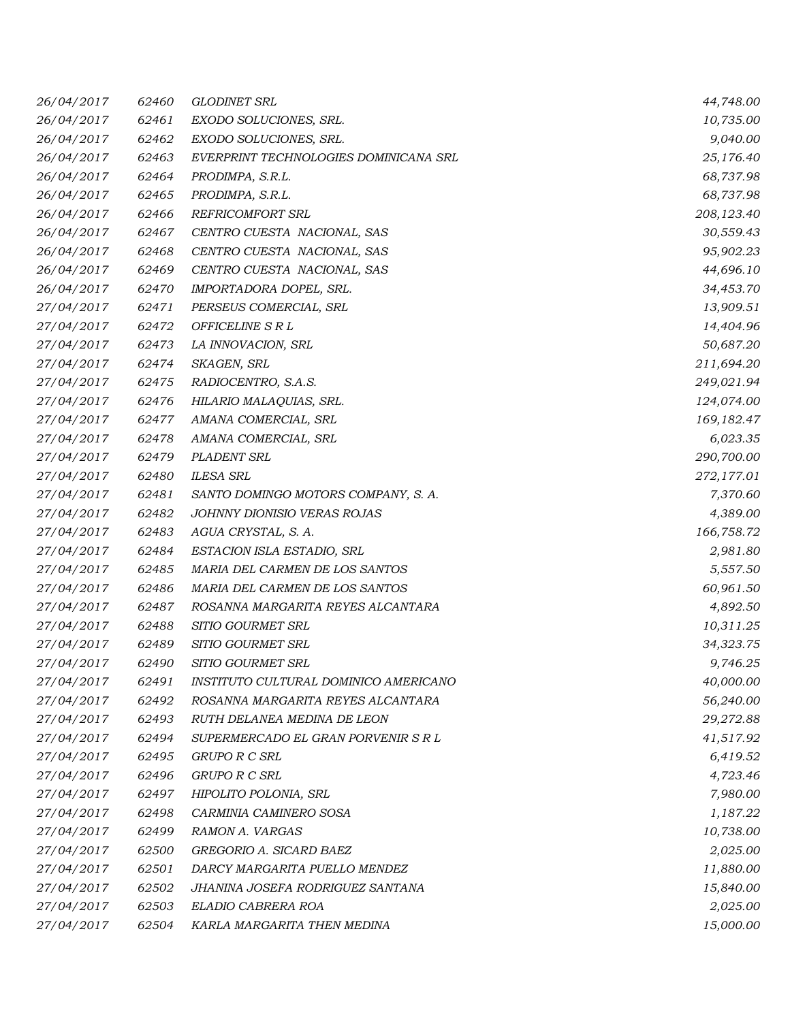| 26/04/2017 | 62460 | <b>GLODINET SRL</b>                   | 44,748.00  |
|------------|-------|---------------------------------------|------------|
| 26/04/2017 | 62461 | EXODO SOLUCIONES, SRL.                | 10,735.00  |
| 26/04/2017 | 62462 | EXODO SOLUCIONES, SRL.                | 9,040.00   |
| 26/04/2017 | 62463 | EVERPRINT TECHNOLOGIES DOMINICANA SRL | 25,176.40  |
| 26/04/2017 | 62464 | PRODIMPA, S.R.L.                      | 68,737.98  |
| 26/04/2017 | 62465 | PRODIMPA, S.R.L.                      | 68,737.98  |
| 26/04/2017 | 62466 | <b>REFRICOMFORT SRL</b>               | 208,123.40 |
| 26/04/2017 | 62467 | CENTRO CUESTA NACIONAL, SAS           | 30,559.43  |
| 26/04/2017 | 62468 | CENTRO CUESTA NACIONAL, SAS           | 95,902.23  |
| 26/04/2017 | 62469 | CENTRO CUESTA NACIONAL, SAS           | 44,696.10  |
| 26/04/2017 | 62470 | IMPORTADORA DOPEL, SRL.               | 34,453.70  |
| 27/04/2017 | 62471 | PERSEUS COMERCIAL, SRL                | 13,909.51  |
| 27/04/2017 | 62472 | <i><b>OFFICELINE S R L</b></i>        | 14,404.96  |
| 27/04/2017 | 62473 | LA INNOVACION, SRL                    | 50,687.20  |
| 27/04/2017 | 62474 | SKAGEN, SRL                           | 211,694.20 |
| 27/04/2017 | 62475 | RADIOCENTRO, S.A.S.                   | 249,021.94 |
| 27/04/2017 | 62476 | HILARIO MALAQUIAS, SRL.               | 124,074.00 |
| 27/04/2017 | 62477 | AMANA COMERCIAL, SRL                  | 169,182.47 |
| 27/04/2017 | 62478 | AMANA COMERCIAL, SRL                  | 6,023.35   |
| 27/04/2017 | 62479 | <b>PLADENT SRL</b>                    | 290,700.00 |
| 27/04/2017 | 62480 | <b>ILESA SRL</b>                      | 272,177.01 |
| 27/04/2017 | 62481 | SANTO DOMINGO MOTORS COMPANY, S. A.   | 7,370.60   |
| 27/04/2017 | 62482 | JOHNNY DIONISIO VERAS ROJAS           | 4,389.00   |
| 27/04/2017 | 62483 | AGUA CRYSTAL, S. A.                   | 166,758.72 |
| 27/04/2017 | 62484 | ESTACION ISLA ESTADIO, SRL            | 2,981.80   |
| 27/04/2017 | 62485 | MARIA DEL CARMEN DE LOS SANTOS        | 5,557.50   |
| 27/04/2017 | 62486 | MARIA DEL CARMEN DE LOS SANTOS        | 60,961.50  |
| 27/04/2017 | 62487 | ROSANNA MARGARITA REYES ALCANTARA     | 4,892.50   |
| 27/04/2017 | 62488 | SITIO GOURMET SRL                     | 10,311.25  |
| 27/04/2017 | 62489 | SITIO GOURMET SRL                     | 34,323.75  |
| 27/04/2017 | 62490 | SITIO GOURMET SRL                     | 9,746.25   |
| 27/04/2017 | 62491 | INSTITUTO CULTURAL DOMINICO AMERICANO | 40,000.00  |
| 27/04/2017 | 62492 | ROSANNA MARGARITA REYES ALCANTARA     | 56,240.00  |
| 27/04/2017 | 62493 | RUTH DELANEA MEDINA DE LEON           | 29,272.88  |
| 27/04/2017 | 62494 | SUPERMERCADO EL GRAN PORVENIR S R L   | 41,517.92  |
| 27/04/2017 | 62495 | GRUPO R C SRL                         | 6,419.52   |
| 27/04/2017 | 62496 | GRUPO R C SRL                         | 4,723.46   |
| 27/04/2017 | 62497 | HIPOLITO POLONIA, SRL                 | 7,980.00   |
| 27/04/2017 | 62498 | CARMINIA CAMINERO SOSA                | 1,187.22   |
| 27/04/2017 | 62499 | RAMON A. VARGAS                       | 10,738.00  |
| 27/04/2017 | 62500 | GREGORIO A. SICARD BAEZ               | 2,025.00   |
| 27/04/2017 | 62501 | DARCY MARGARITA PUELLO MENDEZ         | 11,880.00  |
| 27/04/2017 | 62502 | JHANINA JOSEFA RODRIGUEZ SANTANA      | 15,840.00  |
| 27/04/2017 | 62503 | ELADIO CABRERA ROA                    | 2,025.00   |
| 27/04/2017 | 62504 | KARLA MARGARITA THEN MEDINA           | 15,000.00  |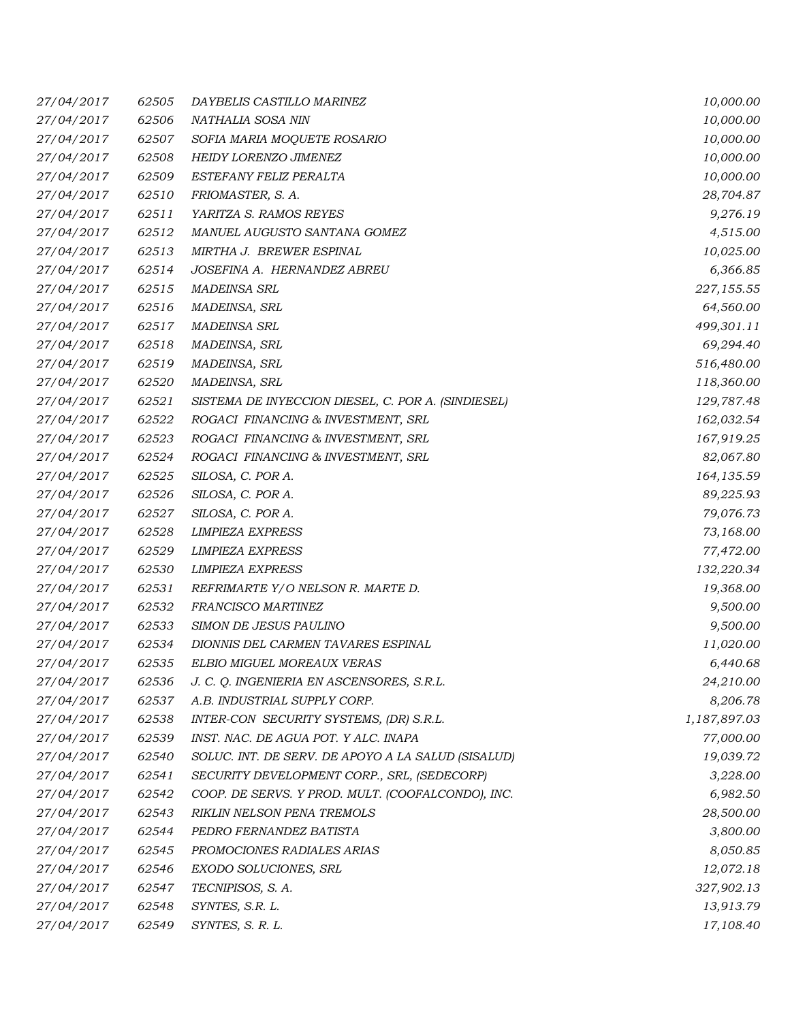| 27/04/2017 | 62505 | DAYBELIS CASTILLO MARINEZ                          | 10,000.00    |
|------------|-------|----------------------------------------------------|--------------|
| 27/04/2017 | 62506 | NATHALIA SOSA NIN                                  | 10,000.00    |
| 27/04/2017 | 62507 | SOFIA MARIA MOQUETE ROSARIO                        | 10,000.00    |
| 27/04/2017 | 62508 | HEIDY LORENZO JIMENEZ                              | 10,000.00    |
| 27/04/2017 | 62509 | ESTEFANY FELIZ PERALTA                             | 10,000.00    |
| 27/04/2017 | 62510 | FRIOMASTER, S. A.                                  | 28,704.87    |
| 27/04/2017 | 62511 | YARITZA S. RAMOS REYES                             | 9,276.19     |
| 27/04/2017 | 62512 | MANUEL AUGUSTO SANTANA GOMEZ                       | 4,515.00     |
| 27/04/2017 | 62513 | MIRTHA J. BREWER ESPINAL                           | 10,025.00    |
| 27/04/2017 | 62514 | JOSEFINA A. HERNANDEZ ABREU                        | 6,366.85     |
| 27/04/2017 | 62515 | <b>MADEINSA SRL</b>                                | 227,155.55   |
| 27/04/2017 | 62516 | MADEINSA, SRL                                      | 64,560.00    |
| 27/04/2017 | 62517 | <b>MADEINSA SRL</b>                                | 499,301.11   |
| 27/04/2017 | 62518 | MADEINSA, SRL                                      | 69,294.40    |
| 27/04/2017 | 62519 | MADEINSA, SRL                                      | 516,480.00   |
| 27/04/2017 | 62520 | MADEINSA, SRL                                      | 118,360.00   |
| 27/04/2017 | 62521 | SISTEMA DE INYECCION DIESEL, C. POR A. (SINDIESEL) | 129,787.48   |
| 27/04/2017 | 62522 | ROGACI FINANCING & INVESTMENT, SRL                 | 162,032.54   |
| 27/04/2017 | 62523 | ROGACI FINANCING & INVESTMENT, SRL                 | 167,919.25   |
| 27/04/2017 | 62524 | ROGACI FINANCING & INVESTMENT, SRL                 | 82,067.80    |
| 27/04/2017 | 62525 | SILOSA, C. POR A.                                  | 164,135.59   |
| 27/04/2017 | 62526 | SILOSA, C. POR A.                                  | 89,225.93    |
| 27/04/2017 | 62527 | SILOSA, C. POR A.                                  | 79,076.73    |
| 27/04/2017 | 62528 | <b>LIMPIEZA EXPRESS</b>                            | 73,168.00    |
| 27/04/2017 | 62529 | <b>LIMPIEZA EXPRESS</b>                            | 77,472.00    |
| 27/04/2017 | 62530 | <b>LIMPIEZA EXPRESS</b>                            | 132,220.34   |
| 27/04/2017 | 62531 | REFRIMARTE Y/O NELSON R. MARTE D.                  | 19,368.00    |
| 27/04/2017 | 62532 | FRANCISCO MARTINEZ                                 | 9,500.00     |
| 27/04/2017 | 62533 | SIMON DE JESUS PAULINO                             | 9,500.00     |
| 27/04/2017 | 62534 | DIONNIS DEL CARMEN TAVARES ESPINAL                 | 11,020.00    |
| 27/04/2017 | 62535 | ELBIO MIGUEL MOREAUX VERAS                         | 6,440.68     |
| 27/04/2017 | 62536 | J. C. Q. INGENIERIA EN ASCENSORES, S.R.L.          | 24,210.00    |
| 27/04/2017 | 62537 | A.B. INDUSTRIAL SUPPLY CORP.                       | 8,206.78     |
| 27/04/2017 | 62538 | INTER-CON SECURITY SYSTEMS, (DR) S.R.L.            | 1,187,897.03 |
| 27/04/2017 | 62539 | INST. NAC. DE AGUA POT. Y ALC. INAPA               | 77,000.00    |
| 27/04/2017 | 62540 | SOLUC. INT. DE SERV. DE APOYO A LA SALUD (SISALUD) | 19,039.72    |
| 27/04/2017 | 62541 | SECURITY DEVELOPMENT CORP., SRL, (SEDECORP)        | 3,228.00     |
| 27/04/2017 | 62542 | COOP. DE SERVS. Y PROD. MULT. (COOFALCONDO), INC.  | 6,982.50     |
| 27/04/2017 | 62543 | RIKLIN NELSON PENA TREMOLS                         | 28,500.00    |
| 27/04/2017 | 62544 | PEDRO FERNANDEZ BATISTA                            | 3,800.00     |
| 27/04/2017 | 62545 | PROMOCIONES RADIALES ARIAS                         | 8,050.85     |
| 27/04/2017 | 62546 | EXODO SOLUCIONES, SRL                              | 12,072.18    |
| 27/04/2017 | 62547 | TECNIPISOS, S. A.                                  | 327,902.13   |
| 27/04/2017 | 62548 | SYNTES, S.R. L.                                    | 13,913.79    |
| 27/04/2017 | 62549 | SYNTES, S. R. L.                                   | 17,108.40    |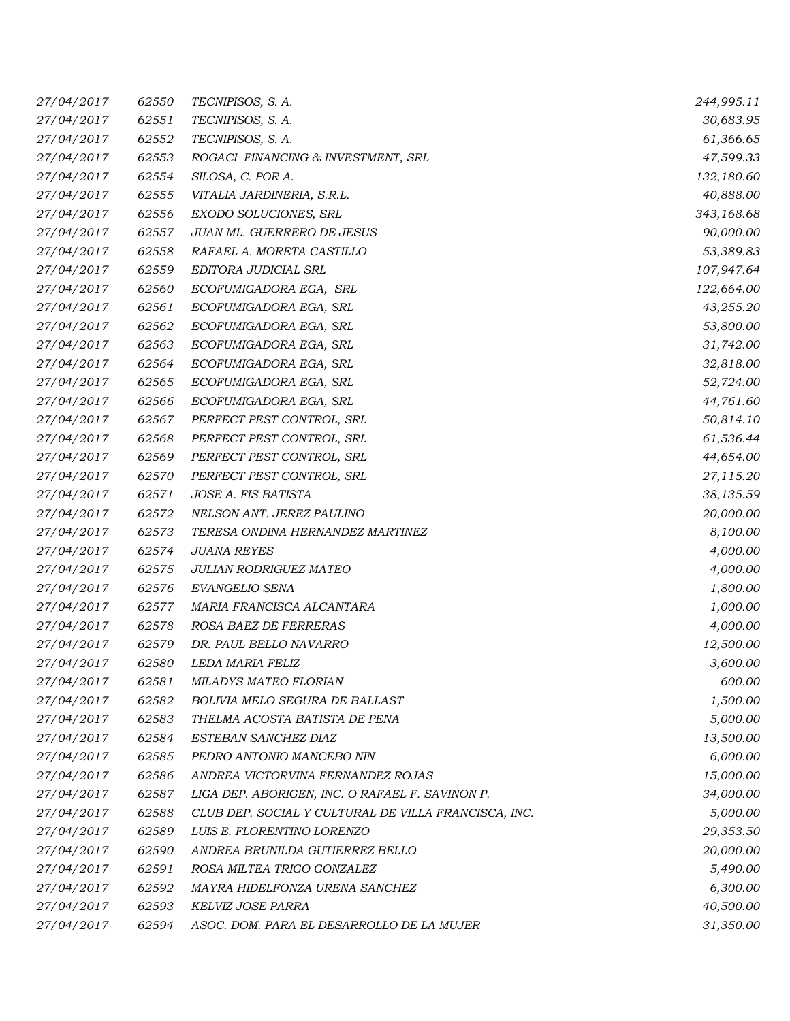| 27/04/2017 | 62550 | TECNIPISOS, S. A.                                    | 244,995.11 |
|------------|-------|------------------------------------------------------|------------|
| 27/04/2017 | 62551 | TECNIPISOS, S. A.                                    | 30,683.95  |
| 27/04/2017 | 62552 | TECNIPISOS, S. A.                                    | 61,366.65  |
| 27/04/2017 | 62553 | ROGACI FINANCING & INVESTMENT, SRL                   | 47,599.33  |
| 27/04/2017 | 62554 | SILOSA, C. POR A.                                    | 132,180.60 |
| 27/04/2017 | 62555 | VITALIA JARDINERIA, S.R.L.                           | 40,888.00  |
| 27/04/2017 | 62556 | EXODO SOLUCIONES, SRL                                | 343,168.68 |
| 27/04/2017 | 62557 | JUAN ML. GUERRERO DE JESUS                           | 90,000.00  |
| 27/04/2017 | 62558 | RAFAEL A. MORETA CASTILLO                            | 53,389.83  |
| 27/04/2017 | 62559 | EDITORA JUDICIAL SRL                                 | 107,947.64 |
| 27/04/2017 | 62560 | ECOFUMIGADORA EGA, SRL                               | 122,664.00 |
| 27/04/2017 | 62561 | ECOFUMIGADORA EGA, SRL                               | 43,255.20  |
| 27/04/2017 | 62562 | ECOFUMIGADORA EGA, SRL                               | 53,800.00  |
| 27/04/2017 | 62563 | ECOFUMIGADORA EGA, SRL                               | 31,742.00  |
| 27/04/2017 | 62564 | ECOFUMIGADORA EGA, SRL                               | 32,818.00  |
| 27/04/2017 | 62565 | ECOFUMIGADORA EGA, SRL                               | 52,724.00  |
| 27/04/2017 | 62566 | ECOFUMIGADORA EGA, SRL                               | 44,761.60  |
| 27/04/2017 | 62567 | PERFECT PEST CONTROL, SRL                            | 50,814.10  |
| 27/04/2017 | 62568 | PERFECT PEST CONTROL, SRL                            | 61,536.44  |
| 27/04/2017 | 62569 | PERFECT PEST CONTROL, SRL                            | 44,654.00  |
| 27/04/2017 | 62570 | PERFECT PEST CONTROL, SRL                            | 27,115.20  |
| 27/04/2017 | 62571 | JOSE A. FIS BATISTA                                  | 38,135.59  |
| 27/04/2017 | 62572 | NELSON ANT. JEREZ PAULINO                            | 20,000.00  |
| 27/04/2017 | 62573 | TERESA ONDINA HERNANDEZ MARTINEZ                     | 8,100.00   |
| 27/04/2017 | 62574 | <b>JUANA REYES</b>                                   | 4,000.00   |
| 27/04/2017 | 62575 | <b>JULIAN RODRIGUEZ MATEO</b>                        | 4,000.00   |
| 27/04/2017 | 62576 | EVANGELIO SENA                                       | 1,800.00   |
| 27/04/2017 | 62577 | MARIA FRANCISCA ALCANTARA                            | 1,000.00   |
| 27/04/2017 | 62578 | ROSA BAEZ DE FERRERAS                                | 4,000.00   |
| 27/04/2017 | 62579 | DR. PAUL BELLO NAVARRO                               | 12,500.00  |
| 27/04/2017 | 62580 | LEDA MARIA FELIZ                                     | 3,600.00   |
| 27/04/2017 | 62581 | MILADYS MATEO FLORIAN                                | 600.00     |
| 27/04/2017 | 62582 | <b>BOLIVIA MELO SEGURA DE BALLAST</b>                | 1,500.00   |
| 27/04/2017 | 62583 | THELMA ACOSTA BATISTA DE PENA                        | 5,000.00   |
| 27/04/2017 | 62584 | ESTEBAN SANCHEZ DIAZ                                 | 13,500.00  |
| 27/04/2017 | 62585 | PEDRO ANTONIO MANCEBO NIN                            | 6,000.00   |
| 27/04/2017 | 62586 | ANDREA VICTORVINA FERNANDEZ ROJAS                    | 15,000.00  |
| 27/04/2017 | 62587 | LIGA DEP. ABORIGEN, INC. O RAFAEL F. SAVINON P.      | 34,000.00  |
| 27/04/2017 | 62588 | CLUB DEP. SOCIAL Y CULTURAL DE VILLA FRANCISCA, INC. | 5,000.00   |
| 27/04/2017 | 62589 | LUIS E. FLORENTINO LORENZO                           | 29,353.50  |
| 27/04/2017 | 62590 | ANDREA BRUNILDA GUTIERREZ BELLO                      | 20,000.00  |
| 27/04/2017 | 62591 | ROSA MILTEA TRIGO GONZALEZ                           | 5,490.00   |
| 27/04/2017 | 62592 | MAYRA HIDELFONZA URENA SANCHEZ                       | 6,300.00   |
| 27/04/2017 | 62593 | KELVIZ JOSE PARRA                                    | 40,500.00  |
| 27/04/2017 | 62594 | ASOC. DOM. PARA EL DESARROLLO DE LA MUJER            | 31,350.00  |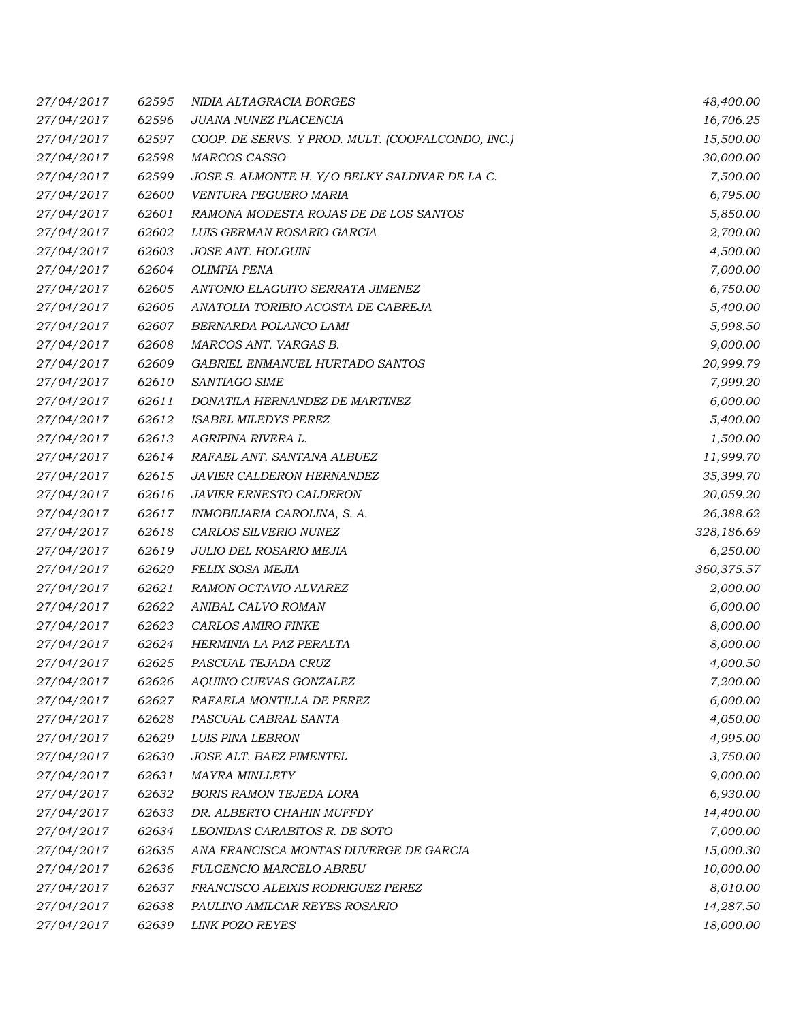| 27/04/2017 | 62595 | NIDIA ALTAGRACIA BORGES                           | 48,400.00  |
|------------|-------|---------------------------------------------------|------------|
| 27/04/2017 | 62596 | JUANA NUNEZ PLACENCIA                             | 16,706.25  |
| 27/04/2017 | 62597 | COOP. DE SERVS. Y PROD. MULT. (COOFALCONDO, INC.) | 15,500.00  |
| 27/04/2017 | 62598 | <b>MARCOS CASSO</b>                               | 30,000.00  |
| 27/04/2017 | 62599 | JOSE S. ALMONTE H. Y/O BELKY SALDIVAR DE LA C.    | 7,500.00   |
| 27/04/2017 | 62600 | VENTURA PEGUERO MARIA                             | 6,795.00   |
| 27/04/2017 | 62601 | RAMONA MODESTA ROJAS DE DE LOS SANTOS             | 5,850.00   |
| 27/04/2017 | 62602 | LUIS GERMAN ROSARIO GARCIA                        | 2,700.00   |
| 27/04/2017 | 62603 | <b>JOSE ANT. HOLGUIN</b>                          | 4,500.00   |
| 27/04/2017 | 62604 | OLIMPIA PENA                                      | 7,000.00   |
| 27/04/2017 | 62605 | ANTONIO ELAGUITO SERRATA JIMENEZ                  | 6,750.00   |
| 27/04/2017 | 62606 | ANATOLIA TORIBIO ACOSTA DE CABREJA                | 5,400.00   |
| 27/04/2017 | 62607 | BERNARDA POLANCO LAMI                             | 5,998.50   |
| 27/04/2017 | 62608 | MARCOS ANT. VARGAS B.                             | 9,000.00   |
| 27/04/2017 | 62609 | GABRIEL ENMANUEL HURTADO SANTOS                   | 20,999.79  |
| 27/04/2017 | 62610 | SANTIAGO SIME                                     | 7,999.20   |
| 27/04/2017 | 62611 | DONATILA HERNANDEZ DE MARTINEZ                    | 6,000.00   |
| 27/04/2017 | 62612 | <b>ISABEL MILEDYS PEREZ</b>                       | 5,400.00   |
| 27/04/2017 | 62613 | AGRIPINA RIVERA L.                                | 1,500.00   |
| 27/04/2017 | 62614 | RAFAEL ANT. SANTANA ALBUEZ                        | 11,999.70  |
| 27/04/2017 | 62615 | JAVIER CALDERON HERNANDEZ                         | 35,399.70  |
| 27/04/2017 | 62616 | <b>JAVIER ERNESTO CALDERON</b>                    | 20,059.20  |
| 27/04/2017 | 62617 | INMOBILIARIA CAROLINA, S. A.                      | 26,388.62  |
| 27/04/2017 | 62618 | CARLOS SILVERIO NUNEZ                             | 328,186.69 |
| 27/04/2017 | 62619 | JULIO DEL ROSARIO MEJIA                           | 6,250.00   |
| 27/04/2017 | 62620 | FELIX SOSA MEJIA                                  | 360,375.57 |
| 27/04/2017 | 62621 | RAMON OCTAVIO ALVAREZ                             | 2,000.00   |
| 27/04/2017 | 62622 | ANIBAL CALVO ROMAN                                | 6,000.00   |
| 27/04/2017 | 62623 | CARLOS AMIRO FINKE                                | 8,000.00   |
| 27/04/2017 | 62624 | HERMINIA LA PAZ PERALTA                           | 8,000.00   |
| 27/04/2017 | 62625 | PASCUAL TEJADA CRUZ                               | 4,000.50   |
| 27/04/2017 | 62626 | AQUINO CUEVAS GONZALEZ                            | 7,200.00   |
| 27/04/2017 | 62627 | RAFAELA MONTILLA DE PEREZ                         | 6,000.00   |
| 27/04/2017 | 62628 | PASCUAL CABRAL SANTA                              | 4,050.00   |
| 27/04/2017 | 62629 | <b>LUIS PINA LEBRON</b>                           | 4,995.00   |
| 27/04/2017 | 62630 | JOSE ALT. BAEZ PIMENTEL                           | 3,750.00   |
| 27/04/2017 | 62631 | <b>MAYRA MINLLETY</b>                             | 9,000.00   |
| 27/04/2017 | 62632 | <b>BORIS RAMON TEJEDA LORA</b>                    | 6,930.00   |
| 27/04/2017 | 62633 | DR. ALBERTO CHAHIN MUFFDY                         | 14,400.00  |
| 27/04/2017 | 62634 | LEONIDAS CARABITOS R. DE SOTO                     | 7,000.00   |
| 27/04/2017 | 62635 | ANA FRANCISCA MONTAS DUVERGE DE GARCIA            | 15,000.30  |
| 27/04/2017 | 62636 | FULGENCIO MARCELO ABREU                           | 10,000.00  |
| 27/04/2017 | 62637 | FRANCISCO ALEIXIS RODRIGUEZ PEREZ                 | 8,010.00   |
| 27/04/2017 | 62638 | PAULINO AMILCAR REYES ROSARIO                     | 14,287.50  |
| 27/04/2017 | 62639 | <b>LINK POZO REYES</b>                            | 18,000.00  |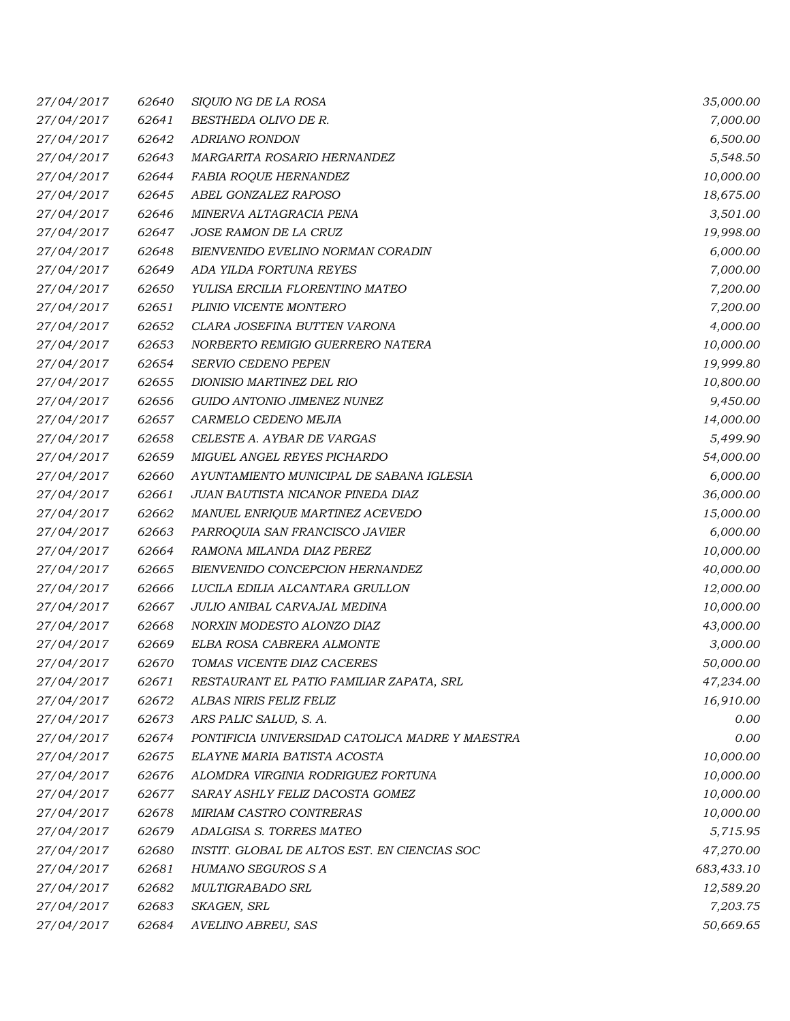| 27/04/2017 | 62640 | SIQUIO NG DE LA ROSA                            | 35,000.00  |
|------------|-------|-------------------------------------------------|------------|
| 27/04/2017 | 62641 | BESTHEDA OLIVO DE R.                            | 7,000.00   |
| 27/04/2017 | 62642 | ADRIANO RONDON                                  | 6,500.00   |
| 27/04/2017 | 62643 | MARGARITA ROSARIO HERNANDEZ                     | 5,548.50   |
| 27/04/2017 | 62644 | FABIA ROQUE HERNANDEZ                           | 10,000.00  |
| 27/04/2017 | 62645 | ABEL GONZALEZ RAPOSO                            | 18,675.00  |
| 27/04/2017 | 62646 | MINERVA ALTAGRACIA PENA                         | 3,501.00   |
| 27/04/2017 | 62647 | <b>JOSE RAMON DE LA CRUZ</b>                    | 19,998.00  |
| 27/04/2017 | 62648 | BIENVENIDO EVELINO NORMAN CORADIN               | 6,000.00   |
| 27/04/2017 | 62649 | ADA YILDA FORTUNA REYES                         | 7,000.00   |
| 27/04/2017 | 62650 | YULISA ERCILIA FLORENTINO MATEO                 | 7,200.00   |
| 27/04/2017 | 62651 | PLINIO VICENTE MONTERO                          | 7,200.00   |
| 27/04/2017 | 62652 | CLARA JOSEFINA BUTTEN VARONA                    | 4,000.00   |
| 27/04/2017 | 62653 | NORBERTO REMIGIO GUERRERO NATERA                | 10,000.00  |
| 27/04/2017 | 62654 | <b>SERVIO CEDENO PEPEN</b>                      | 19,999.80  |
| 27/04/2017 | 62655 | DIONISIO MARTINEZ DEL RIO                       | 10,800.00  |
| 27/04/2017 | 62656 | GUIDO ANTONIO JIMENEZ NUNEZ                     | 9,450.00   |
| 27/04/2017 | 62657 | CARMELO CEDENO MEJIA                            | 14,000.00  |
| 27/04/2017 | 62658 | CELESTE A. AYBAR DE VARGAS                      | 5,499.90   |
| 27/04/2017 | 62659 | MIGUEL ANGEL REYES PICHARDO                     | 54,000.00  |
| 27/04/2017 | 62660 | AYUNTAMIENTO MUNICIPAL DE SABANA IGLESIA        | 6,000.00   |
| 27/04/2017 | 62661 | JUAN BAUTISTA NICANOR PINEDA DIAZ               | 36,000.00  |
| 27/04/2017 | 62662 | MANUEL ENRIQUE MARTINEZ ACEVEDO                 | 15,000.00  |
| 27/04/2017 | 62663 | PARROQUIA SAN FRANCISCO JAVIER                  | 6,000.00   |
| 27/04/2017 | 62664 | RAMONA MILANDA DIAZ PEREZ                       | 10,000.00  |
| 27/04/2017 | 62665 | BIENVENIDO CONCEPCION HERNANDEZ                 | 40,000.00  |
| 27/04/2017 | 62666 | LUCILA EDILIA ALCANTARA GRULLON                 | 12,000.00  |
| 27/04/2017 | 62667 | JULIO ANIBAL CARVAJAL MEDINA                    | 10,000.00  |
| 27/04/2017 | 62668 | NORXIN MODESTO ALONZO DIAZ                      | 43,000.00  |
| 27/04/2017 | 62669 | ELBA ROSA CABRERA ALMONTE                       | 3,000.00   |
| 27/04/2017 | 62670 | TOMAS VICENTE DIAZ CACERES                      | 50,000.00  |
| 27/04/2017 | 62671 | RESTAURANT EL PATIO FAMILIAR ZAPATA, SRL        | 47,234.00  |
| 27/04/2017 | 62672 | ALBAS NIRIS FELIZ FELIZ                         | 16,910.00  |
| 27/04/2017 | 62673 | ARS PALIC SALUD, S. A.                          | 0.00       |
| 27/04/2017 | 62674 | PONTIFICIA UNIVERSIDAD CATOLICA MADRE Y MAESTRA | 0.00       |
| 27/04/2017 | 62675 | ELAYNE MARIA BATISTA ACOSTA                     | 10,000.00  |
| 27/04/2017 | 62676 | ALOMDRA VIRGINIA RODRIGUEZ FORTUNA              | 10,000.00  |
| 27/04/2017 | 62677 | SARAY ASHLY FELIZ DACOSTA GOMEZ                 | 10,000.00  |
| 27/04/2017 | 62678 | MIRIAM CASTRO CONTRERAS                         | 10,000.00  |
| 27/04/2017 | 62679 | ADALGISA S. TORRES MATEO                        | 5,715.95   |
| 27/04/2017 | 62680 | INSTIT. GLOBAL DE ALTOS EST. EN CIENCIAS SOC    | 47,270.00  |
| 27/04/2017 | 62681 | HUMANO SEGUROS S A                              | 683,433.10 |
| 27/04/2017 | 62682 | <b>MULTIGRABADO SRL</b>                         | 12,589.20  |
| 27/04/2017 | 62683 | SKAGEN, SRL                                     | 7,203.75   |
| 27/04/2017 | 62684 | AVELINO ABREU, SAS                              | 50,669.65  |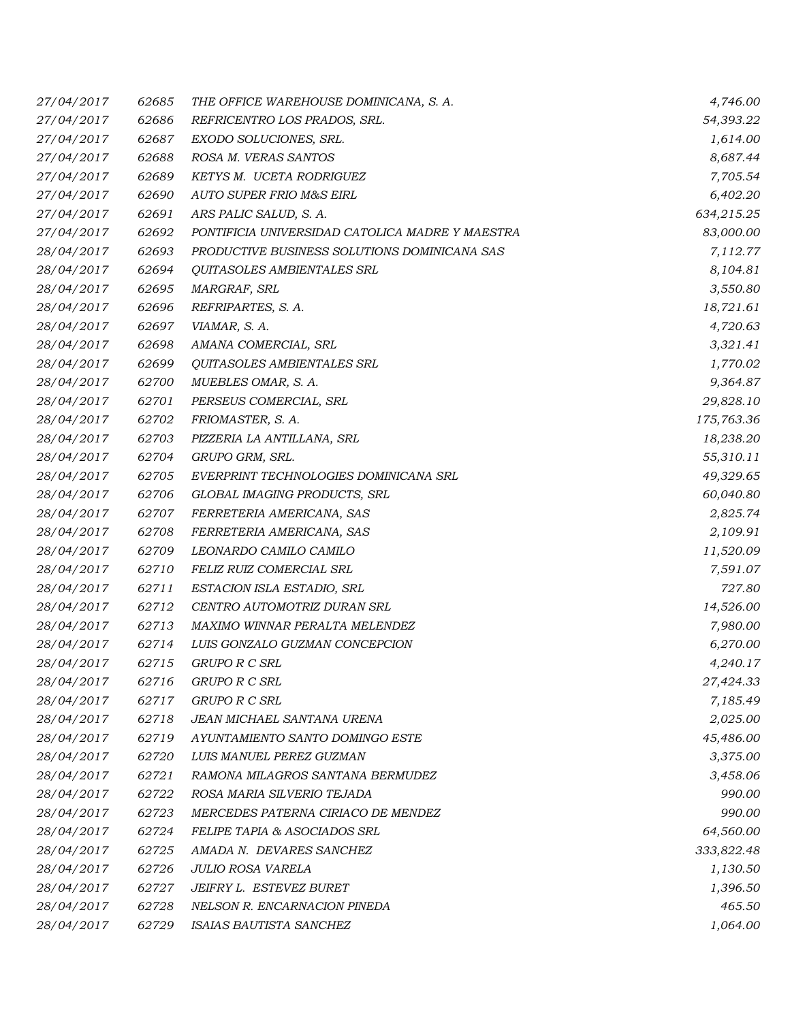| 27/04/2017 | 62685 | THE OFFICE WAREHOUSE DOMINICANA, S. A.          | 4,746.00   |
|------------|-------|-------------------------------------------------|------------|
| 27/04/2017 | 62686 | REFRICENTRO LOS PRADOS, SRL.                    | 54,393.22  |
| 27/04/2017 | 62687 | EXODO SOLUCIONES, SRL.                          | 1,614.00   |
| 27/04/2017 | 62688 | ROSA M. VERAS SANTOS                            | 8,687.44   |
| 27/04/2017 | 62689 | KETYS M. UCETA RODRIGUEZ                        | 7,705.54   |
| 27/04/2017 | 62690 | AUTO SUPER FRIO M&S EIRL                        | 6,402.20   |
| 27/04/2017 | 62691 | ARS PALIC SALUD, S. A.                          | 634,215.25 |
| 27/04/2017 | 62692 | PONTIFICIA UNIVERSIDAD CATOLICA MADRE Y MAESTRA | 83,000.00  |
| 28/04/2017 | 62693 | PRODUCTIVE BUSINESS SOLUTIONS DOMINICANA SAS    | 7,112.77   |
| 28/04/2017 | 62694 | QUITASOLES AMBIENTALES SRL                      | 8,104.81   |
| 28/04/2017 | 62695 | MARGRAF, SRL                                    | 3,550.80   |
| 28/04/2017 | 62696 | REFRIPARTES, S. A.                              | 18,721.61  |
| 28/04/2017 | 62697 | VIAMAR, S. A.                                   | 4,720.63   |
| 28/04/2017 | 62698 | AMANA COMERCIAL, SRL                            | 3,321.41   |
| 28/04/2017 | 62699 | <i><b>QUITASOLES AMBIENTALES SRL</b></i>        | 1,770.02   |
| 28/04/2017 | 62700 | MUEBLES OMAR, S. A.                             | 9,364.87   |
| 28/04/2017 | 62701 | PERSEUS COMERCIAL, SRL                          | 29,828.10  |
| 28/04/2017 | 62702 | FRIOMASTER, S. A.                               | 175,763.36 |
| 28/04/2017 | 62703 | PIZZERIA LA ANTILLANA, SRL                      | 18,238.20  |
| 28/04/2017 | 62704 | GRUPO GRM, SRL.                                 | 55,310.11  |
| 28/04/2017 | 62705 | EVERPRINT TECHNOLOGIES DOMINICANA SRL           | 49,329.65  |
| 28/04/2017 | 62706 | GLOBAL IMAGING PRODUCTS, SRL                    | 60,040.80  |
| 28/04/2017 | 62707 | FERRETERIA AMERICANA, SAS                       | 2,825.74   |
| 28/04/2017 | 62708 | FERRETERIA AMERICANA, SAS                       | 2,109.91   |
| 28/04/2017 | 62709 | LEONARDO CAMILO CAMILO                          | 11,520.09  |
| 28/04/2017 | 62710 | FELIZ RUIZ COMERCIAL SRL                        | 7,591.07   |
| 28/04/2017 | 62711 | ESTACION ISLA ESTADIO, SRL                      | 727.80     |
| 28/04/2017 | 62712 | CENTRO AUTOMOTRIZ DURAN SRL                     | 14,526.00  |
| 28/04/2017 | 62713 | MAXIMO WINNAR PERALTA MELENDEZ                  | 7,980.00   |
| 28/04/2017 | 62714 | LUIS GONZALO GUZMAN CONCEPCION                  | 6,270.00   |
| 28/04/2017 | 62715 | GRUPO R C SRL                                   | 4,240.17   |
| 28/04/2017 | 62716 | GRUPO R C SRL                                   | 27,424.33  |
| 28/04/2017 | 62717 | GRUPO R C SRL                                   | 7,185.49   |
| 28/04/2017 | 62718 | JEAN MICHAEL SANTANA URENA                      | 2,025.00   |
| 28/04/2017 | 62719 | AYUNTAMIENTO SANTO DOMINGO ESTE                 | 45,486.00  |
| 28/04/2017 | 62720 | LUIS MANUEL PEREZ GUZMAN                        | 3,375.00   |
| 28/04/2017 | 62721 | RAMONA MILAGROS SANTANA BERMUDEZ                | 3,458.06   |
| 28/04/2017 | 62722 | ROSA MARIA SILVERIO TEJADA                      | 990.00     |
| 28/04/2017 | 62723 | MERCEDES PATERNA CIRIACO DE MENDEZ              | 990.00     |
| 28/04/2017 | 62724 | <b>FELIPE TAPIA &amp; ASOCIADOS SRL</b>         | 64,560.00  |
| 28/04/2017 | 62725 | AMADA N. DEVARES SANCHEZ                        | 333,822.48 |
| 28/04/2017 | 62726 | <b>JULIO ROSA VARELA</b>                        | 1,130.50   |
| 28/04/2017 | 62727 | JEIFRY L. ESTEVEZ BURET                         | 1,396.50   |
| 28/04/2017 | 62728 | NELSON R. ENCARNACION PINEDA                    | 465.50     |
| 28/04/2017 | 62729 | ISAIAS BAUTISTA SANCHEZ                         | 1,064.00   |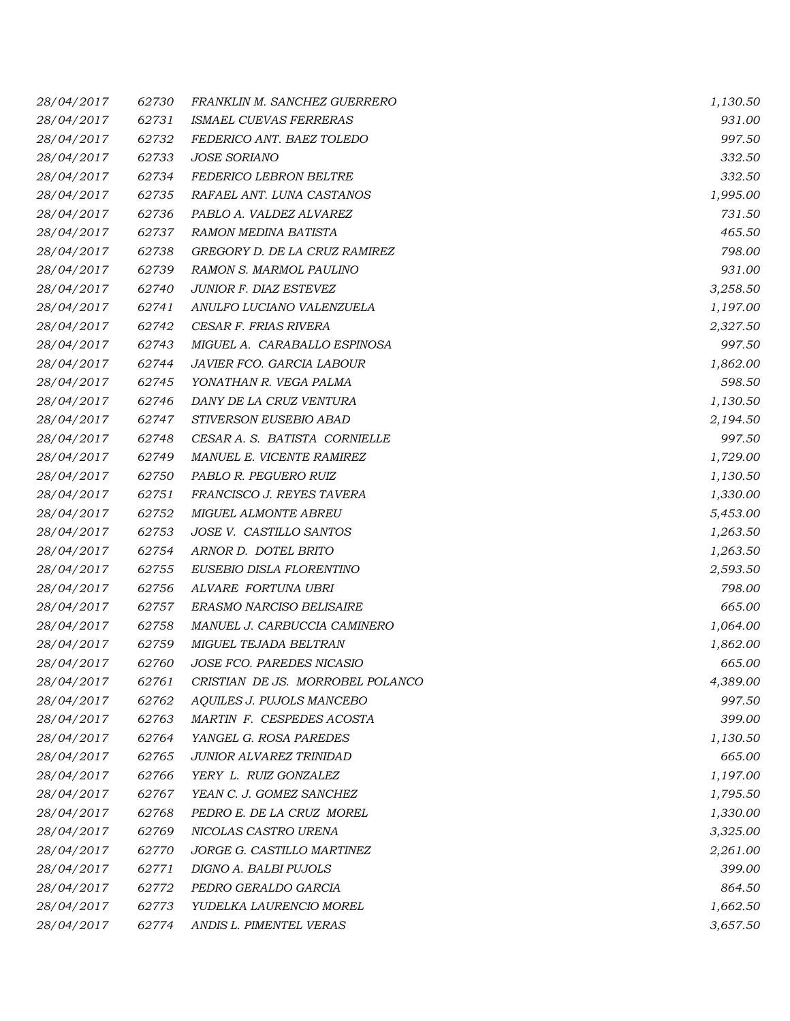| 28/04/2017 | 62730 | FRANKLIN M. SANCHEZ GUERRERO     | 1,130.50 |
|------------|-------|----------------------------------|----------|
| 28/04/2017 | 62731 | ISMAEL CUEVAS FERRERAS           | 931.00   |
| 28/04/2017 | 62732 | FEDERICO ANT. BAEZ TOLEDO        | 997.50   |
| 28/04/2017 | 62733 | <b>JOSE SORIANO</b>              | 332.50   |
| 28/04/2017 | 62734 | FEDERICO LEBRON BELTRE           | 332.50   |
| 28/04/2017 | 62735 | RAFAEL ANT. LUNA CASTANOS        | 1,995.00 |
| 28/04/2017 | 62736 | PABLO A. VALDEZ ALVAREZ          | 731.50   |
| 28/04/2017 | 62737 | RAMON MEDINA BATISTA             | 465.50   |
| 28/04/2017 | 62738 | GREGORY D. DE LA CRUZ RAMIREZ    | 798.00   |
| 28/04/2017 | 62739 | RAMON S. MARMOL PAULINO          | 931.00   |
| 28/04/2017 | 62740 | JUNIOR F. DIAZ ESTEVEZ           | 3,258.50 |
| 28/04/2017 | 62741 | ANULFO LUCIANO VALENZUELA        | 1,197.00 |
| 28/04/2017 | 62742 | CESAR F. FRIAS RIVERA            | 2,327.50 |
| 28/04/2017 | 62743 | MIGUEL A. CARABALLO ESPINOSA     | 997.50   |
| 28/04/2017 | 62744 | JAVIER FCO. GARCIA LABOUR        | 1,862.00 |
| 28/04/2017 | 62745 | YONATHAN R. VEGA PALMA           | 598.50   |
| 28/04/2017 | 62746 | DANY DE LA CRUZ VENTURA          | 1,130.50 |
| 28/04/2017 | 62747 | STIVERSON EUSEBIO ABAD           | 2,194.50 |
| 28/04/2017 | 62748 | CESAR A. S. BATISTA CORNIELLE    | 997.50   |
| 28/04/2017 | 62749 | MANUEL E. VICENTE RAMIREZ        | 1,729.00 |
| 28/04/2017 | 62750 | PABLO R. PEGUERO RUIZ            | 1,130.50 |
| 28/04/2017 | 62751 | FRANCISCO J. REYES TAVERA        | 1,330.00 |
| 28/04/2017 | 62752 | MIGUEL ALMONTE ABREU             | 5,453.00 |
| 28/04/2017 | 62753 | JOSE V. CASTILLO SANTOS          | 1,263.50 |
| 28/04/2017 | 62754 | ARNOR D. DOTEL BRITO             | 1,263.50 |
| 28/04/2017 | 62755 | EUSEBIO DISLA FLORENTINO         | 2,593.50 |
| 28/04/2017 | 62756 | ALVARE FORTUNA UBRI              | 798.00   |
| 28/04/2017 | 62757 | <b>ERASMO NARCISO BELISAIRE</b>  | 665.00   |
| 28/04/2017 | 62758 | MANUEL J. CARBUCCIA CAMINERO     | 1,064.00 |
| 28/04/2017 | 62759 | MIGUEL TEJADA BELTRAN            | 1,862.00 |
| 28/04/2017 | 62760 | JOSE FCO. PAREDES NICASIO        | 665.00   |
| 28/04/2017 | 62761 | CRISTIAN DE JS. MORROBEL POLANCO | 4,389.00 |
| 28/04/2017 | 62762 | AQUILES J. PUJOLS MANCEBO        | 997.50   |
| 28/04/2017 | 62763 | MARTIN F. CESPEDES ACOSTA        | 399.00   |
| 28/04/2017 | 62764 | YANGEL G. ROSA PAREDES           | 1,130.50 |
| 28/04/2017 | 62765 | JUNIOR ALVAREZ TRINIDAD          | 665.00   |
| 28/04/2017 | 62766 | YERY L. RUIZ GONZALEZ            | 1,197.00 |
| 28/04/2017 | 62767 | YEAN C. J. GOMEZ SANCHEZ         | 1,795.50 |
| 28/04/2017 | 62768 | PEDRO E. DE LA CRUZ MOREL        | 1,330.00 |
| 28/04/2017 | 62769 | NICOLAS CASTRO URENA             | 3,325.00 |
| 28/04/2017 | 62770 | JORGE G. CASTILLO MARTINEZ       | 2,261.00 |
| 28/04/2017 | 62771 | DIGNO A. BALBI PUJOLS            | 399.00   |
| 28/04/2017 | 62772 | PEDRO GERALDO GARCIA             | 864.50   |
| 28/04/2017 | 62773 | YUDELKA LAURENCIO MOREL          | 1,662.50 |
| 28/04/2017 | 62774 | ANDIS L. PIMENTEL VERAS          | 3,657.50 |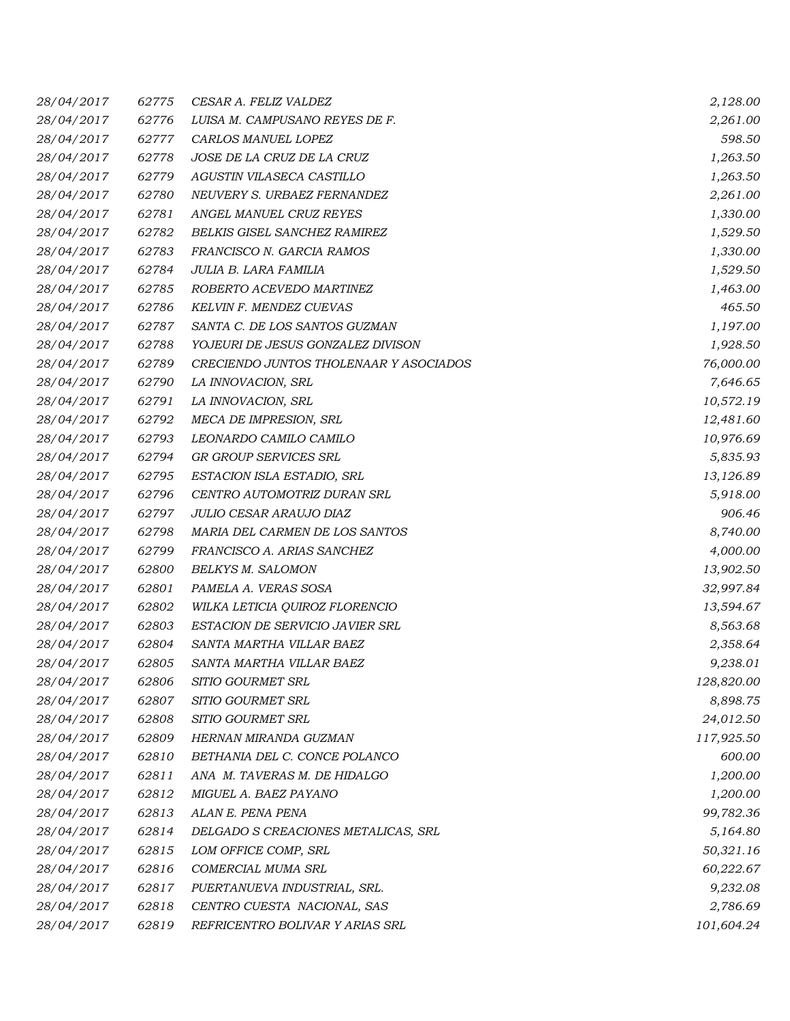| 28/04/2017 | 62775 | CESAR A. FELIZ VALDEZ                  | 2,128.00   |
|------------|-------|----------------------------------------|------------|
| 28/04/2017 | 62776 | LUISA M. CAMPUSANO REYES DE F.         | 2,261.00   |
| 28/04/2017 | 62777 | CARLOS MANUEL LOPEZ                    | 598.50     |
| 28/04/2017 | 62778 | JOSE DE LA CRUZ DE LA CRUZ             | 1,263.50   |
| 28/04/2017 | 62779 | AGUSTIN VILASECA CASTILLO              | 1,263.50   |
| 28/04/2017 | 62780 | NEUVERY S. URBAEZ FERNANDEZ            | 2,261.00   |
| 28/04/2017 | 62781 | ANGEL MANUEL CRUZ REYES                | 1,330.00   |
| 28/04/2017 | 62782 | BELKIS GISEL SANCHEZ RAMIREZ           | 1,529.50   |
| 28/04/2017 | 62783 | FRANCISCO N. GARCIA RAMOS              | 1,330.00   |
| 28/04/2017 | 62784 | JULIA B. LARA FAMILIA                  | 1,529.50   |
| 28/04/2017 | 62785 | ROBERTO ACEVEDO MARTINEZ               | 1,463.00   |
| 28/04/2017 | 62786 | KELVIN F. MENDEZ CUEVAS                | 465.50     |
| 28/04/2017 | 62787 | SANTA C. DE LOS SANTOS GUZMAN          | 1,197.00   |
| 28/04/2017 | 62788 | YOJEURI DE JESUS GONZALEZ DIVISON      | 1,928.50   |
| 28/04/2017 | 62789 | CRECIENDO JUNTOS THOLENAAR Y ASOCIADOS | 76,000.00  |
| 28/04/2017 | 62790 | LA INNOVACION, SRL                     | 7,646.65   |
| 28/04/2017 | 62791 | LA INNOVACION, SRL                     | 10,572.19  |
| 28/04/2017 | 62792 | MECA DE IMPRESION, SRL                 | 12,481.60  |
| 28/04/2017 | 62793 | LEONARDO CAMILO CAMILO                 | 10,976.69  |
| 28/04/2017 | 62794 | GR GROUP SERVICES SRL                  | 5,835.93   |
| 28/04/2017 | 62795 | ESTACION ISLA ESTADIO, SRL             | 13,126.89  |
| 28/04/2017 | 62796 | CENTRO AUTOMOTRIZ DURAN SRL            | 5,918.00   |
| 28/04/2017 | 62797 | JULIO CESAR ARAUJO DIAZ                | 906.46     |
| 28/04/2017 | 62798 | MARIA DEL CARMEN DE LOS SANTOS         | 8,740.00   |
| 28/04/2017 | 62799 | FRANCISCO A. ARIAS SANCHEZ             | 4,000.00   |
| 28/04/2017 | 62800 | <b>BELKYS M. SALOMON</b>               | 13,902.50  |
| 28/04/2017 | 62801 | PAMELA A. VERAS SOSA                   | 32,997.84  |
| 28/04/2017 | 62802 | WILKA LETICIA QUIROZ FLORENCIO         | 13,594.67  |
| 28/04/2017 | 62803 | ESTACION DE SERVICIO JAVIER SRL        | 8,563.68   |
| 28/04/2017 | 62804 | SANTA MARTHA VILLAR BAEZ               | 2,358.64   |
| 28/04/2017 | 62805 | SANTA MARTHA VILLAR BAEZ               | 9,238.01   |
| 28/04/2017 | 62806 | SITIO GOURMET SRL                      | 128,820.00 |
| 28/04/2017 | 62807 | SITIO GOURMET SRL                      | 8,898.75   |
| 28/04/2017 | 62808 | SITIO GOURMET SRL                      | 24,012.50  |
| 28/04/2017 | 62809 | HERNAN MIRANDA GUZMAN                  | 117,925.50 |
| 28/04/2017 | 62810 | BETHANIA DEL C. CONCE POLANCO          | 600.00     |
| 28/04/2017 | 62811 | ANA M. TAVERAS M. DE HIDALGO           | 1,200.00   |
| 28/04/2017 | 62812 | MIGUEL A. BAEZ PAYANO                  | 1,200.00   |
| 28/04/2017 | 62813 | ALAN E. PENA PENA                      | 99,782.36  |
| 28/04/2017 | 62814 | DELGADO S CREACIONES METALICAS, SRL    | 5,164.80   |
| 28/04/2017 | 62815 | LOM OFFICE COMP, SRL                   | 50,321.16  |
| 28/04/2017 | 62816 | COMERCIAL MUMA SRL                     | 60,222.67  |
| 28/04/2017 | 62817 | PUERTANUEVA INDUSTRIAL, SRL.           | 9,232.08   |
| 28/04/2017 | 62818 | CENTRO CUESTA NACIONAL, SAS            | 2,786.69   |
| 28/04/2017 | 62819 | REFRICENTRO BOLIVAR Y ARIAS SRL        | 101,604.24 |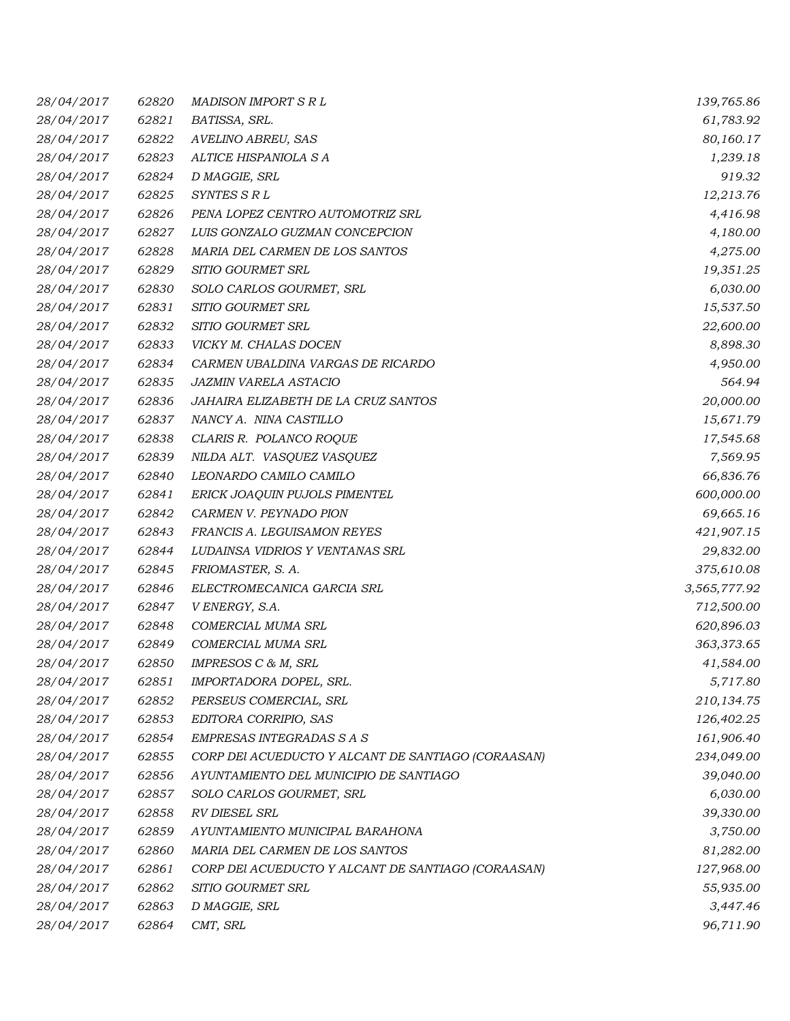| 28/04/2017 | 62820 | <b>MADISON IMPORT S R L</b>                        | 139,765.86   |
|------------|-------|----------------------------------------------------|--------------|
| 28/04/2017 | 62821 | BATISSA, SRL.                                      | 61,783.92    |
| 28/04/2017 | 62822 | AVELINO ABREU, SAS                                 | 80,160.17    |
| 28/04/2017 | 62823 | ALTICE HISPANIOLA S A                              | 1,239.18     |
| 28/04/2017 | 62824 | D MAGGIE, SRL                                      | 919.32       |
| 28/04/2017 | 62825 | SYNTES S R L                                       | 12,213.76    |
| 28/04/2017 | 62826 | PENA LOPEZ CENTRO AUTOMOTRIZ SRL                   | 4,416.98     |
| 28/04/2017 | 62827 | LUIS GONZALO GUZMAN CONCEPCION                     | 4,180.00     |
| 28/04/2017 | 62828 | MARIA DEL CARMEN DE LOS SANTOS                     | 4,275.00     |
| 28/04/2017 | 62829 | SITIO GOURMET SRL                                  | 19,351.25    |
| 28/04/2017 | 62830 | SOLO CARLOS GOURMET, SRL                           | 6,030.00     |
| 28/04/2017 | 62831 | SITIO GOURMET SRL                                  | 15,537.50    |
| 28/04/2017 | 62832 | SITIO GOURMET SRL                                  | 22,600.00    |
| 28/04/2017 | 62833 | VICKY M. CHALAS DOCEN                              | 8,898.30     |
| 28/04/2017 | 62834 | CARMEN UBALDINA VARGAS DE RICARDO                  | 4,950.00     |
| 28/04/2017 | 62835 | <b>JAZMIN VARELA ASTACIO</b>                       | 564.94       |
| 28/04/2017 | 62836 | JAHAIRA ELIZABETH DE LA CRUZ SANTOS                | 20,000.00    |
| 28/04/2017 | 62837 | NANCY A. NINA CASTILLO                             | 15,671.79    |
| 28/04/2017 | 62838 | CLARIS R. POLANCO ROQUE                            | 17,545.68    |
| 28/04/2017 | 62839 | NILDA ALT. VASQUEZ VASQUEZ                         | 7,569.95     |
| 28/04/2017 | 62840 | LEONARDO CAMILO CAMILO                             | 66,836.76    |
| 28/04/2017 | 62841 | ERICK JOAQUIN PUJOLS PIMENTEL                      | 600,000.00   |
| 28/04/2017 | 62842 | CARMEN V. PEYNADO PION                             | 69,665.16    |
| 28/04/2017 | 62843 | FRANCIS A. LEGUISAMON REYES                        | 421,907.15   |
| 28/04/2017 | 62844 | LUDAINSA VIDRIOS Y VENTANAS SRL                    | 29,832.00    |
| 28/04/2017 | 62845 | FRIOMASTER, S. A.                                  | 375,610.08   |
| 28/04/2017 | 62846 | ELECTROMECANICA GARCIA SRL                         | 3,565,777.92 |
| 28/04/2017 | 62847 | V ENERGY, S.A.                                     | 712,500.00   |
| 28/04/2017 | 62848 | COMERCIAL MUMA SRL                                 | 620,896.03   |
| 28/04/2017 | 62849 | COMERCIAL MUMA SRL                                 | 363,373.65   |
| 28/04/2017 | 62850 | IMPRESOS C & M, SRL                                | 41,584.00    |
| 28/04/2017 | 62851 | IMPORTADORA DOPEL, SRL.                            | 5,717.80     |
| 28/04/2017 | 62852 | PERSEUS COMERCIAL, SRL                             | 210,134.75   |
| 28/04/2017 | 62853 | EDITORA CORRIPIO, SAS                              | 126,402.25   |
| 28/04/2017 | 62854 | EMPRESAS INTEGRADAS S A S                          | 161,906.40   |
| 28/04/2017 | 62855 | CORP DEI ACUEDUCTO Y ALCANT DE SANTIAGO (CORAASAN) | 234,049.00   |
| 28/04/2017 | 62856 | AYUNTAMIENTO DEL MUNICIPIO DE SANTIAGO             | 39,040.00    |
| 28/04/2017 | 62857 | SOLO CARLOS GOURMET, SRL                           | 6,030.00     |
| 28/04/2017 | 62858 | RV DIESEL SRL                                      | 39,330.00    |
| 28/04/2017 | 62859 | AYUNTAMIENTO MUNICIPAL BARAHONA                    | 3,750.00     |
| 28/04/2017 | 62860 | MARIA DEL CARMEN DE LOS SANTOS                     | 81,282.00    |
| 28/04/2017 | 62861 | CORP DEI ACUEDUCTO Y ALCANT DE SANTIAGO (CORAASAN) | 127,968.00   |
| 28/04/2017 | 62862 | SITIO GOURMET SRL                                  | 55,935.00    |
| 28/04/2017 | 62863 | D MAGGIE, SRL                                      | 3,447.46     |
| 28/04/2017 | 62864 | CMT, SRL                                           | 96,711.90    |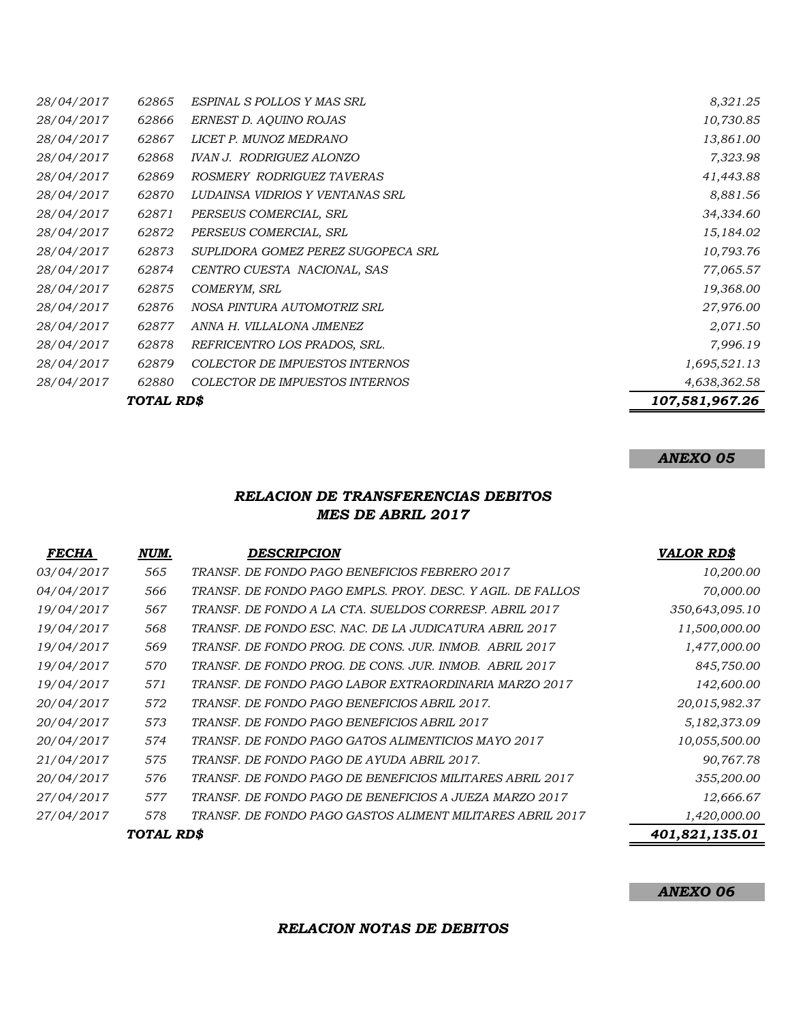| TOTAL RD\$ |       |                                       | 107,581,967.26 |
|------------|-------|---------------------------------------|----------------|
| 28/04/2017 | 62880 | <b>COLECTOR DE IMPUESTOS INTERNOS</b> | 4,638,362.58   |
| 28/04/2017 | 62879 | COLECTOR DE IMPUESTOS INTERNOS        | 1,695,521.13   |
| 28/04/2017 | 62878 | REFRICENTRO LOS PRADOS, SRL.          | 7,996.19       |
| 28/04/2017 | 62877 | ANNA H. VILLALONA JIMENEZ             | 2,071.50       |
| 28/04/2017 | 62876 | NOSA PINTURA AUTOMOTRIZ SRL           | 27,976.00      |
| 28/04/2017 | 62875 | COMERYM, SRL                          | 19,368.00      |
| 28/04/2017 | 62874 | CENTRO CUESTA NACIONAL, SAS           | 77,065.57      |
| 28/04/2017 | 62873 | SUPLIDORA GOMEZ PEREZ SUGOPECA SRL    | 10,793.76      |
| 28/04/2017 | 62872 | PERSEUS COMERCIAL, SRL                | 15,184.02      |
| 28/04/2017 | 62871 | PERSEUS COMERCIAL, SRL                | 34,334.60      |
| 28/04/2017 | 62870 | LUDAINSA VIDRIOS Y VENTANAS SRL       | 8,881.56       |
| 28/04/2017 | 62869 | ROSMERY RODRIGUEZ TAVERAS             | 41,443.88      |
| 28/04/2017 | 62868 | IVAN J. RODRIGUEZ ALONZO              | 7,323.98       |
| 28/04/2017 | 62867 | LICET P. MUNOZ MEDRANO                | 13,861.00      |
| 28/04/2017 | 62866 | ERNEST D. AQUINO ROJAS                | 10,730.85      |
| 28/04/2017 | 62865 | ESPINAL S POLLOS Y MAS SRL            | 8,321.25       |

# *ANEXO 05*

### *RELACION DE TRANSFERENCIAS DEBITOS MES DE ABRIL 2017*

| <b>FECHA</b> | NUM.       | DESCRIPCION                                                | <b>VALOR RD\$</b> |
|--------------|------------|------------------------------------------------------------|-------------------|
| 03/04/2017   | 565        | TRANSF. DE FONDO PAGO BENEFICIOS FEBRERO 2017              | 10,200.00         |
| 04/04/2017   | 566        | TRANSF. DE FONDO PAGO EMPLS. PROY. DESC. Y AGIL. DE FALLOS | 70,000.00         |
| 19/04/2017   | 567        | TRANSF. DE FONDO A LA CTA. SUELDOS CORRESP. ABRIL 2017     | 350,643,095.10    |
| 19/04/2017   | 568        | TRANSF. DE FONDO ESC. NAC. DE LA JUDICATURA ABRIL 2017     | 11,500,000.00     |
| 19/04/2017   | 569        | TRANSF. DE FONDO PROG. DE CONS. JUR. INMOB. ABRIL 2017     | 1,477,000.00      |
| 19/04/2017   | 570        | TRANSF. DE FONDO PROG. DE CONS. JUR. INMOB. ABRIL 2017     | 845,750.00        |
| 19/04/2017   | 571        | TRANSF. DE FONDO PAGO LABOR EXTRAORDINARIA MARZO 2017      | 142,600.00        |
| 20/04/2017   | 572        | TRANSF. DE FONDO PAGO BENEFICIOS ABRIL 2017.               | 20,015,982.37     |
| 20/04/2017   | 573        | TRANSF. DE FONDO PAGO BENEFICIOS ABRIL 2017                | 5,182,373.09      |
| 20/04/2017   | 574        | TRANSF. DE FONDO PAGO GATOS ALIMENTICIOS MAYO 2017         | 10,055,500.00     |
| 21/04/2017   | 575        | TRANSF. DE FONDO PAGO DE AYUDA ABRIL 2017.                 | 90,767.78         |
| 20/04/2017   | 576        | TRANSF. DE FONDO PAGO DE BENEFICIOS MILITARES ABRIL 2017   | 355,200.00        |
| 27/04/2017   | 577        | TRANSF. DE FONDO PAGO DE BENEFICIOS A JUEZA MARZO 2017     | 12,666.67         |
| 27/04/2017   | 578        | TRANSF. DE FONDO PAGO GASTOS ALIMENT MILITARES ABRIL 2017  | 1,420,000.00      |
|              | TOTAL RD\$ |                                                            | 401,821,135.01    |

*ANEXO 06*

*RELACION NOTAS DE DEBITOS*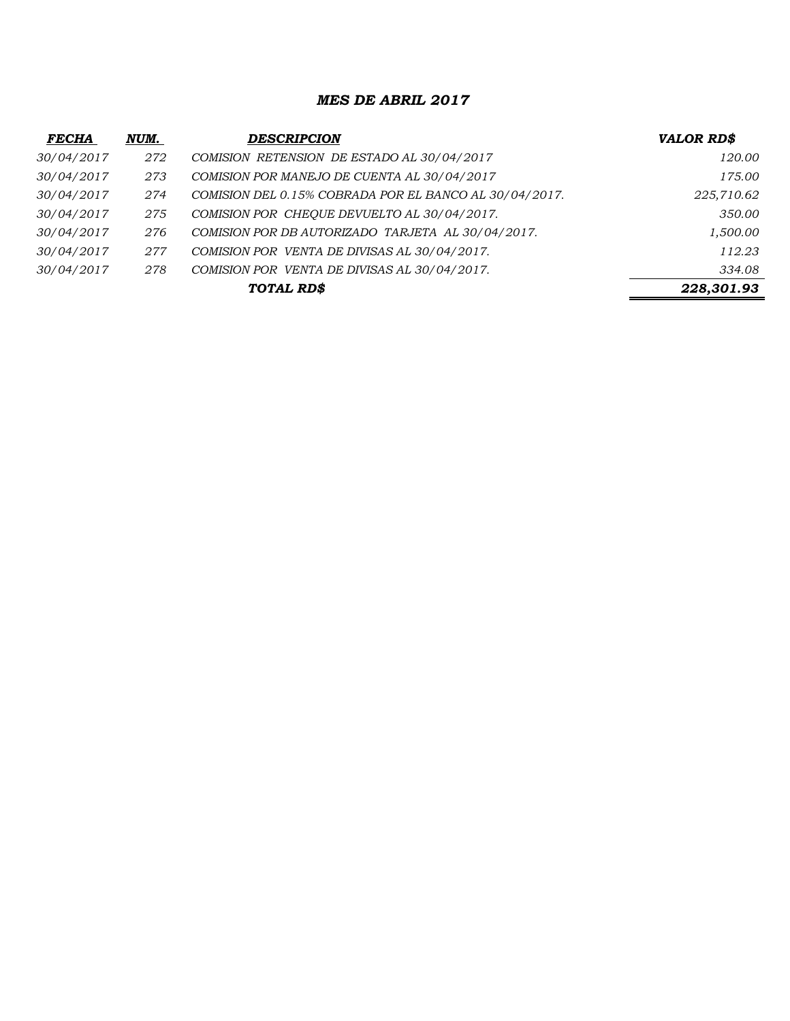#### *MES DE ABRIL 2017*

| <b>FECHA</b> | NUM. | <b>DESCRIPCION</b>                                     | VALOR RD\$ |
|--------------|------|--------------------------------------------------------|------------|
| 30/04/2017   | 272  | COMISION RETENSION DE ESTADO AL 30/04/2017             | 120.00     |
| 30/04/2017   | 273  | COMISION POR MANEJO DE CUENTA AL 30/04/2017            | 175.00     |
| 30/04/2017   | 274  | COMISION DEL 0.15% COBRADA POR EL BANCO AL 30/04/2017. | 225,710.62 |
| 30/04/2017   | 275  | COMISION POR CHEQUE DEVUELTO AL 30/04/2017.            | 350.00     |
| 30/04/2017   | 276  | COMISION POR DB AUTORIZADO TARJETA AL 30/04/2017.      | 1,500.00   |
| 30/04/2017   | 277  | COMISION POR VENTA DE DIVISAS AL 30/04/2017.           | 112.23     |
| 30/04/2017   | 278  | COMISION POR VENTA DE DIVISAS AL 30/04/2017.           | 334.08     |
|              |      | TOTAL RD\$                                             | 228,301.93 |